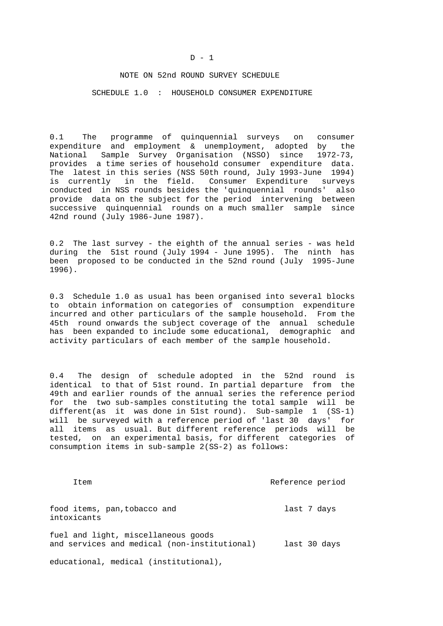## NOTE ON 52nd ROUND SURVEY SCHEDULE

SCHEDULE 1.0 : HOUSEHOLD CONSUMER EXPENDITURE

0.1 The programme of quinquennial surveys on consumer expenditure and employment & unemployment, adopted by the National Sample Survey Organisation (NSSO) since 1972-73, provides a time series of household consumer expenditure data. The latest in this series (NSS 50th round, July 1993-June 1994) is currently in the field. Consumer Expenditure surveys conducted in NSS rounds besides the 'quinquennial rounds' also provide data on the subject for the period intervening between successive quinquennial rounds on a much smaller sample since 42nd round (July 1986-June 1987).

0.2 The last survey - the eighth of the annual series - was held during the 51st round (July 1994 - June 1995). The ninth has been proposed to be conducted in the 52nd round (July 1995-June 1996).

0.3 Schedule 1.0 as usual has been organised into several blocks to obtain information on categories of consumption expenditure incurred and other particulars of the sample household. From the 45th round onwards the subject coverage of the annual schedule has been expanded to include some educational, demographic and activity particulars of each member of the sample household.

0.4 The design of schedule adopted in the 52nd round is identical to that of 51st round. In partial departure from the 49th and earlier rounds of the annual series the reference period for the two sub-samples constituting the total sample will be different(as it was done in 51st round). Sub-sample 1 (SS-1) will be surveyed with a reference period of 'last 30 days' for all items as usual. But different reference periods will be tested, on an experimental basis, for different categories of consumption items in sub-sample 2(SS-2) as follows:

Item Reference period

food items, pan, tobacco and last 7 days intoxicants

fuel and light, miscellaneous goods and services and medical (non-institutional) last 30 days

educational, medical (institutional),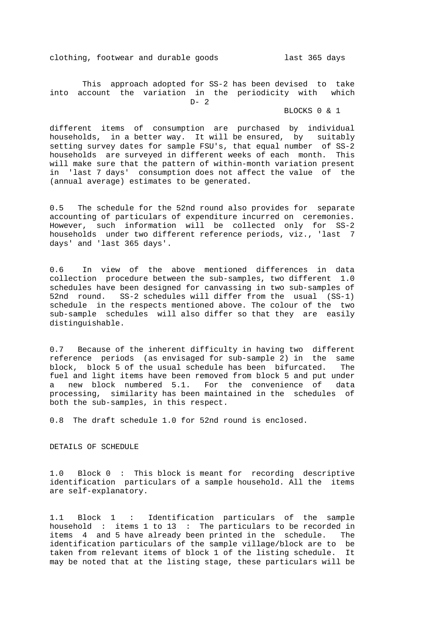clothing, footwear and durable goods last 365 days

 This approach adopted for SS-2 has been devised to take into account the variation in the periodicity with which  $D - 2$ 

BLOCKS 0 & 1

different items of consumption are purchased by individual households, in a better way. It will be ensured, by suitably setting survey dates for sample FSU's, that equal number of SS-2 households are surveyed in different weeks of each month. This will make sure that the pattern of within-month variation present in 'last 7 days' consumption does not affect the value of the (annual average) estimates to be generated.

0.5 The schedule for the 52nd round also provides for separate accounting of particulars of expenditure incurred on ceremonies. However, such information will be collected only for SS-2 households under two different reference periods, viz., 'last 7 days' and 'last 365 days'.

0.6 In view of the above mentioned differences in data collection procedure between the sub-samples, two different 1.0 schedules have been designed for canvassing in two sub-samples of 52nd round. SS-2 schedules will differ from the usual (SS-1) schedule in the respects mentioned above. The colour of the two sub-sample schedules will also differ so that they are easily distinguishable.

0.7 Because of the inherent difficulty in having two different reference periods (as envisaged for sub-sample 2) in the same block, block 5 of the usual schedule has been bifurcated. The fuel and light items have been removed from block 5 and put under a new block numbered 5.1. For the convenience of data processing, similarity has been maintained in the schedules of both the sub-samples, in this respect.

0.8 The draft schedule 1.0 for 52nd round is enclosed.

DETAILS OF SCHEDULE

1.0 Block 0 : This block is meant for recording descriptive identification particulars of a sample household. All the items are self-explanatory.

1.1 Block 1 : Identification particulars of the sample household : items 1 to 13 : The particulars to be recorded in items 4 and 5 have already been printed in the schedule. The identification particulars of the sample village/block are to be taken from relevant items of block 1 of the listing schedule. It may be noted that at the listing stage, these particulars will be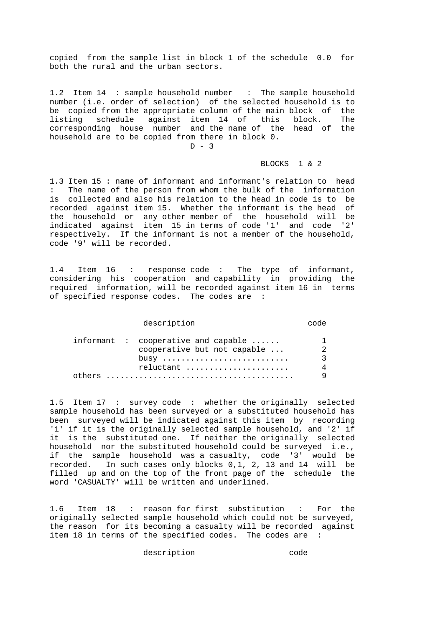copied from the sample list in block 1 of the schedule 0.0 for both the rural and the urban sectors.

1.2 Item 14 : sample household number : The sample household number (i.e. order of selection) of the selected household is to be copied from the appropriate column of the main block of the listing schedule against item 14 of this block. The corresponding house number and the name of the head of the household are to be copied from there in block 0.

 $D - 3$ 

#### BLOCKS 1 & 2

1.3 Item 15 : name of informant and informant's relation to head : The name of the person from whom the bulk of the information is collected and also his relation to the head in code is to be recorded against item 15. Whether the informant is the head of the household or any other member of the household will be indicated against item 15 in terms of code '1' and code '2' respectively. If the informant is not a member of the household, code '9' will be recorded.

1.4 Item 16 : response code : The type of informant, considering his cooperation and capability in providing the required information, will be recorded against item 16 in terms of specified response codes. The codes are :

#### description code

|  | $information:$ cooperative and capable $\ldots$ . |          |
|--|---------------------------------------------------|----------|
|  | cooperative but not capable                       | 2        |
|  | $busy$                                            | <b>2</b> |
|  | reluctant                                         | 4        |
|  |                                                   | Q        |

1.5 Item 17 : survey code : whether the originally selected sample household has been surveyed or a substituted household has been surveyed will be indicated against this item by recording '1' if it is the originally selected sample household, and '2' if it is the substituted one. If neither the originally selected household nor the substituted household could be surveyed i.e., if the sample household was a casualty, code '3' would be recorded. In such cases only blocks 0,1, 2, 13 and 14 will be filled up and on the top of the front page of the schedule the word 'CASUALTY' will be written and underlined.

1.6 Item 18 : reason for first substitution : For the originally selected sample household which could not be surveyed, the reason for its becoming a casualty will be recorded against item 18 in terms of the specified codes. The codes are :

description code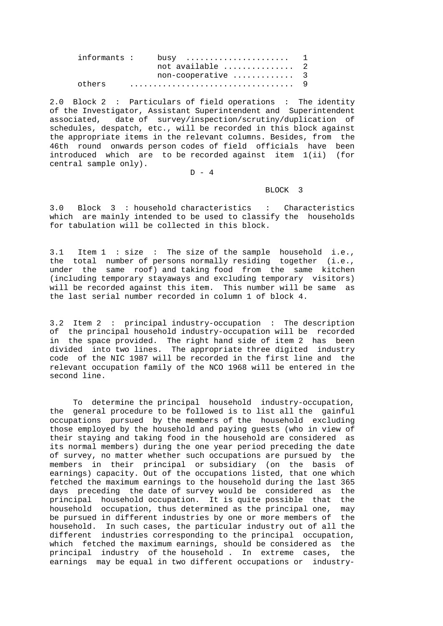|        | not available  2   |  |
|--------|--------------------|--|
|        | non-cooperative  3 |  |
| others |                    |  |

2.0 Block 2 : Particulars of field operations : The identity of the Investigator, Assistant Superintendent and Superintendent associated, date of survey/inspection/scrutiny/duplication of schedules, despatch, etc., will be recorded in this block against the appropriate items in the relevant columns. Besides, from the 46th round onwards person codes of field officials have been introduced which are to be recorded against item 1(ii) (for central sample only).

D - 4

## BLOCK 3

3.0 Block 3 : household characteristics : Characteristics which are mainly intended to be used to classify the households for tabulation will be collected in this block.

3.1 Item 1 : size : The size of the sample household i.e., the total number of persons normally residing together (i.e., under the same roof) and taking food from the same kitchen (including temporary stayaways and excluding temporary visitors) will be recorded against this item. This number will be same as the last serial number recorded in column 1 of block 4.

3.2 Item 2 : principal industry-occupation : The description of the principal household industry-occupation will be recorded in the space provided. The right hand side of item 2 has been divided into two lines. The appropriate three digited industry code of the NIC 1987 will be recorded in the first line and the relevant occupation family of the NCO 1968 will be entered in the second line.

 To determine the principal household industry-occupation, the general procedure to be followed is to list all the gainful occupations pursued by the members of the household excluding those employed by the household and paying guests (who in view of their staying and taking food in the household are considered as its normal members) during the one year period preceding the date of survey, no matter whether such occupations are pursued by the members in their principal or subsidiary (on the basis of earnings) capacity. Out of the occupations listed, that one which fetched the maximum earnings to the household during the last 365 days preceding the date of survey would be considered as the principal household occupation. It is quite possible that the household occupation, thus determined as the principal one, may be pursued in different industries by one or more members of the household. In such cases, the particular industry out of all the different industries corresponding to the principal occupation, which fetched the maximum earnings, should be considered as the principal industry of the household . In extreme cases, the earnings may be equal in two different occupations or industry-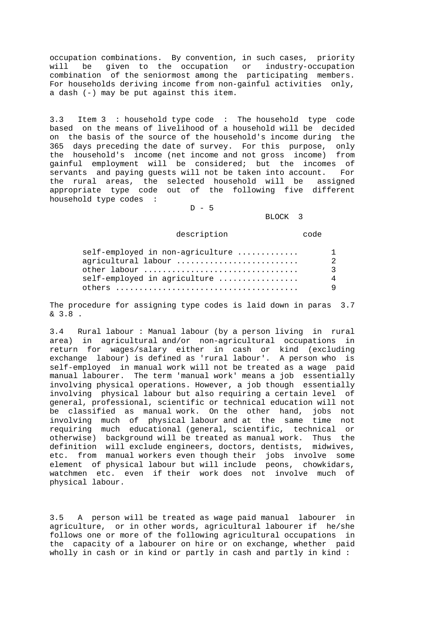occupation combinations. By convention, in such cases, priority will be given to the occupation or industry-occupation combination of the seniormost among the participating members. For households deriving income from non-gainful activities only, a dash (-) may be put against this item.

3.3 Item 3 : household type code : The household type code based on the means of livelihood of a household will be decided on the basis of the source of the household's income during the 365 days preceding the date of survey. For this purpose, only the household's income (net income and not gross income) from gainful employment will be considered; but the incomes of servants and paying guests will not be taken into account. For the rural areas, the selected household will be assigned appropriate type code out of the following five different household type codes :

 $D - 5$ 

BLOCK 3

description code

| self-employed in non-agriculture | $\mathbf{1}$ |
|----------------------------------|--------------|
| agricultural labour              | 2.           |
| other labour                     |              |
| self-employed in agriculture     | 4            |
|                                  | Q            |

The procedure for assigning type codes is laid down in paras 3.7 & 3.8 .

3.4 Rural labour : Manual labour (by a person living in rural area) in agricultural and/or non-agricultural occupations in return for wages/salary either in cash or kind (excluding exchange labour) is defined as 'rural labour'. A person who is self-employed in manual work will not be treated as a wage paid manual labourer. The term 'manual work' means a job essentially involving physical operations. However, a job though essentially involving physical labour but also requiring a certain level of general, professional, scientific or technical education will not be classified as manual work. On the other hand, jobs not involving much of physical labour and at the same time not requiring much educational (general, scientific, technical or otherwise) background will be treated as manual work. Thus the definition will exclude engineers, doctors, dentists, midwives, etc. from manual workers even though their jobs involve some element of physical labour but will include peons, chowkidars, watchmen etc. even if their work does not involve much of physical labour.

3.5 A person will be treated as wage paid manual labourer in agriculture, or in other words, agricultural labourer if he/she follows one or more of the following agricultural occupations in the capacity of a labourer on hire or on exchange, whether paid wholly in cash or in kind or partly in cash and partly in kind :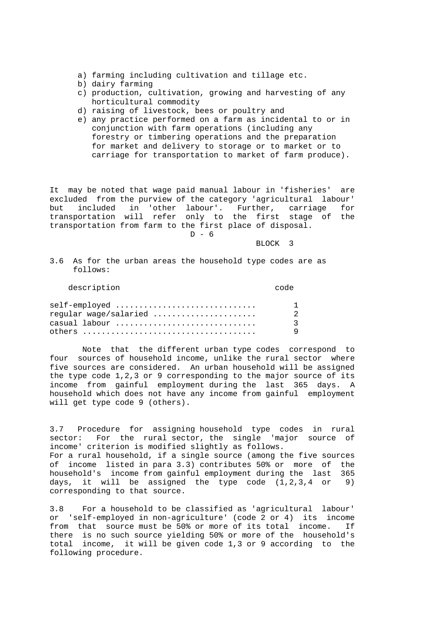- a) farming including cultivation and tillage etc.
- b) dairy farming
- c) production, cultivation, growing and harvesting of any horticultural commodity
- d) raising of livestock, bees or poultry and
- e) any practice performed on a farm as incidental to or in conjunction with farm operations (including any forestry or timbering operations and the preparation for market and delivery to storage or to market or to carriage for transportation to market of farm produce).

It may be noted that wage paid manual labour in 'fisheries' are excluded from the purview of the category 'agricultural labour' but included in 'other labour'. Further, carriage for transportation will refer only to the first stage of the transportation from farm to the first place of disposal.  $D - 6$ 

BLOCK 3

3.6 As for the urban areas the household type codes are as follows:

| description | code |
|-------------|------|
|-------------|------|

| self-employed                                                           | $\mathbf{1}$ |
|-------------------------------------------------------------------------|--------------|
| regular wage/salaried                                                   | 2.           |
| casual labour                                                           | 3            |
| others $\ldots \ldots \ldots \ldots \ldots \ldots \ldots \ldots \ldots$ | <b>Q</b>     |

 Note that the different urban type codes correspond to four sources of household income, unlike the rural sector where five sources are considered. An urban household will be assigned the type code 1,2,3 or 9 corresponding to the major source of its income from gainful employment during the last 365 days. A household which does not have any income from gainful employment will get type code 9 (others).

3.7 Procedure for assigning household type codes in rural sector: For the rural sector, the single 'major source of income' criterion is modified slightly as follows. For a rural household, if a single source (among the five sources of income listed in para 3.3) contributes 50% or more of the household's income from gainful employment during the last 365 days, it will be assigned the type code  $(1,2,3,4$  or 9) corresponding to that source.

3.8 For a household to be classified as 'agricultural labour' or 'self-employed in non-agriculture' (code 2 or 4) its income from that source must be 50% or more of its total income. If there is no such source yielding 50% or more of the household's total income, it will be given code 1,3 or 9 according to the following procedure.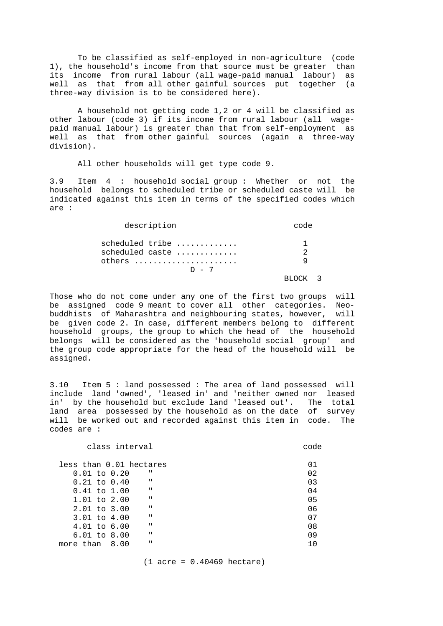To be classified as self-employed in non-agriculture (code 1), the household's income from that source must be greater than its income from rural labour (all wage-paid manual labour) as well as that from all other gainful sources put together (a three-way division is to be considered here).

 A household not getting code 1,2 or 4 will be classified as other labour (code 3) if its income from rural labour (all wagepaid manual labour) is greater than that from self-employment as well as that from other gainful sources (again a three-way division).

All other households will get type code 9.

3.9 Item 4 : household social group : Whether or not the household belongs to scheduled tribe or scheduled caste will be indicated against this item in terms of the specified codes which are :

| description                                             | code          |
|---------------------------------------------------------|---------------|
| scheduled tribe<br>scheduled caste<br>others<br>$D - 7$ | $\mathcal{D}$ |
|                                                         |               |

Those who do not come under any one of the first two groups will be assigned code 9 meant to cover all other categories. Neobuddhists of Maharashtra and neighbouring states, however, will be given code 2. In case, different members belong to different household groups, the group to which the head of the household belongs will be considered as the 'household social group' and the group code appropriate for the head of the household will be assigned.

3.10 Item 5 : land possessed : The area of land possessed will include land 'owned', 'leased in' and 'neither owned nor leased in' by the household but exclude land 'leased out'. The total land area possessed by the household as on the date of survey will be worked out and recorded against this item in code. The codes are :

| class interval                   | code |
|----------------------------------|------|
| less than 0.01 hectares          | 01   |
| п<br>$0.01$ to $0.20$            | 02   |
| $\mathbf{H}$<br>$0.21$ to $0.40$ | 03   |
| $\mathbf{H}$<br>$0.41$ to $1.00$ | 04   |
| $\mathbf{H}$<br>$1.01$ to $2.00$ | 05   |
| $\mathbf{H}$<br>2.01 to 3.00     | 06   |
| $\mathbf{H}$<br>3.01 to 4.00     | 07   |
| $\mathbf{H}$<br>4.01 to 6.00     | 08   |
| $\mathbf{H}$<br>$6.01$ to $8.00$ | 09   |
| $\mathbf{u}$<br>8.00             |      |
|                                  |      |

(1 acre = 0.40469 hectare)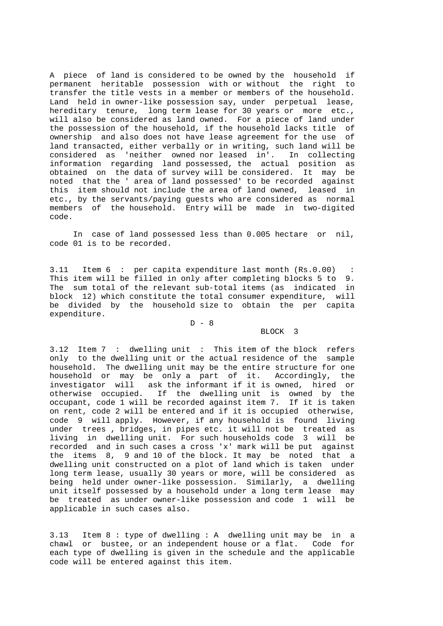A piece of land is considered to be owned by the household if permanent heritable possession with or without the right to transfer the title vests in a member or members of the household. Land held in owner-like possession say, under perpetual lease, hereditary tenure, long term lease for 30 years or more etc., will also be considered as land owned. For a piece of land under the possession of the household, if the household lacks title of ownership and also does not have lease agreement for the use of land transacted, either verbally or in writing, such land will be considered as 'neither owned nor leased in'. In collecting information regarding land possessed, the actual position as obtained on the data of survey will be considered. It may be noted that the ' area of land possessed' to be recorded against this item should not include the area of land owned, leased in etc., by the servants/paying guests who are considered as normal members of the household. Entry will be made in two-digited code.

 In case of land possessed less than 0.005 hectare or nil, code 01 is to be recorded.

3.11 Item 6 : per capita expenditure last month (Rs.0.00) : This item will be filled in only after completing blocks 5 to 9. The sum total of the relevant sub-total items (as indicated in block 12) which constitute the total consumer expenditure, will be divided by the household size to obtain the per capita expenditure.

 $D - 8$ 

## BLOCK 3

3.12 Item 7 : dwelling unit : This item of the block refers only to the dwelling unit or the actual residence of the sample household. The dwelling unit may be the entire structure for one household or may be only a part of it. Accordingly, the investigator will ask the informant if it is owned, hired or otherwise occupied. If the dwelling unit is owned by the occupant, code 1 will be recorded against item 7. If it is taken on rent, code 2 will be entered and if it is occupied otherwise, code 9 will apply. However, if any household is found living under trees , bridges, in pipes etc. it will not be treated as living in dwelling unit. For such households code 3 will be recorded and in such cases a cross 'x' mark will be put against the items 8, 9 and 10 of the block. It may be noted that a dwelling unit constructed on a plot of land which is taken under long term lease, usually 30 years or more, will be considered as being held under owner-like possession. Similarly, a dwelling unit itself possessed by a household under a long term lease may be treated as under owner-like possession and code 1 will be applicable in such cases also.

3.13 Item 8 : type of dwelling : A dwelling unit may be in a chawl or bustee, or an independent house or a flat. Code for each type of dwelling is given in the schedule and the applicable code will be entered against this item.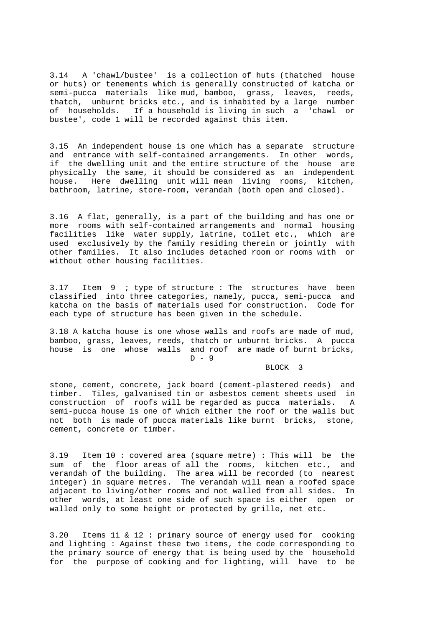3.14 A 'chawl/bustee' is a collection of huts (thatched house or huts) or tenements which is generally constructed of katcha or semi-pucca materials like mud, bamboo, grass, leaves, reeds, thatch, unburnt bricks etc., and is inhabited by a large number of households. If a household is living in such a 'chawl or bustee', code 1 will be recorded against this item.

3.15 An independent house is one which has a separate structure and entrance with self-contained arrangements. In other words, if the dwelling unit and the entire structure of the house are physically the same, it should be considered as an independent house. Here dwelling unit will mean living rooms, kitchen, bathroom, latrine, store-room, verandah (both open and closed).

3.16 A flat, generally, is a part of the building and has one or more rooms with self-contained arrangements and normal housing facilities like water supply, latrine, toilet etc., which are used exclusively by the family residing therein or jointly with other families. It also includes detached room or rooms with or without other housing facilities.

3.17 Item 9 ; type of structure : The structures have been classified into three categories, namely, pucca, semi-pucca and katcha on the basis of materials used for construction. Code for each type of structure has been given in the schedule.

3.18 A katcha house is one whose walls and roofs are made of mud, bamboo, grass, leaves, reeds, thatch or unburnt bricks. A pucca house is one whose walls and roof are made of burnt bricks,  $D - 9$ 

BLOCK 3

stone, cement, concrete, jack board (cement-plastered reeds) and timber. Tiles, galvanised tin or asbestos cement sheets used in construction of roofs will be regarded as pucca materials. A semi-pucca house is one of which either the roof or the walls but not both is made of pucca materials like burnt bricks, stone, cement, concrete or timber.

3.19 Item 10 : covered area (square metre) : This will be the sum of the floor areas of all the rooms, kitchen etc., and verandah of the building. The area will be recorded (to nearest integer) in square metres. The verandah will mean a roofed space adjacent to living/other rooms and not walled from all sides. In other words, at least one side of such space is either open or walled only to some height or protected by grille, net etc.

3.20 Items 11 & 12 : primary source of energy used for cooking and lighting : Against these two items, the code corresponding to the primary source of energy that is being used by the household for the purpose of cooking and for lighting, will have to be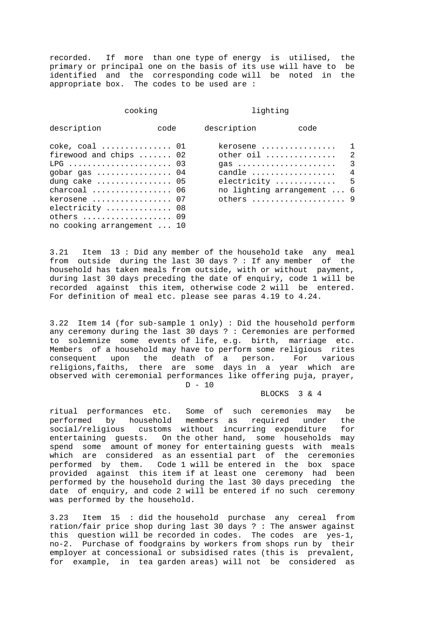recorded. If more than one type of energy is utilised, the primary or principal one on the basis of its use will have to be identified and the corresponding code will be noted in the appropriate box. The codes to be used are :

#### cooking lighting

| description                                                                                                                                                                                | code | description | code                                                                                                                                         |                                                |
|--------------------------------------------------------------------------------------------------------------------------------------------------------------------------------------------|------|-------------|----------------------------------------------------------------------------------------------------------------------------------------------|------------------------------------------------|
| $\csc$ , $\cosh$ 01<br>firewood and chips  02<br>gobar gas $\ldots \ldots \ldots \ldots 04$<br>dung cake $\dots\dots\dots\dots\dots$ 05<br>charcoal  06<br>kerosene  07<br>electricity  08 |      |             | kerosene<br>other oil<br>$gas \dots \dots \dots \dots \dots \dots \dots$<br>candle<br>electricity<br>no lighting arrangement  6<br>others  9 | $\mathbf{1}$<br>$\mathfrak{D}$<br>3<br>4<br>.5 |
| others  09<br>no cooking arrangement  10                                                                                                                                                   |      |             |                                                                                                                                              |                                                |

3.21 Item 13 : Did any member of the household take any meal from outside during the last 30 days ? : If any member of the household has taken meals from outside, with or without payment, during last 30 days preceding the date of enquiry, code 1 will be recorded against this item, otherwise code 2 will be entered. For definition of meal etc. please see paras 4.19 to 4.24.

3.22 Item 14 (for sub-sample 1 only) : Did the household perform any ceremony during the last 30 days ? : Ceremonies are performed to solemnize some events of life, e.g. birth, marriage etc. Members of a household may have to perform some religious rites consequent upon the death of a person. For various religions,faiths, there are some days in a year which are observed with ceremonial performances like offering puja, prayer,

D - 10

BLOCKS 3 & 4

ritual performances etc. Some of such ceremonies may be performed by household members as required under the<br>social/religious customs without incurring expenditure for social/religious customs without incurring expenditure entertaining guests. On the other hand, some households may spend some amount of money for entertaining guests with meals which are considered as an essential part of the ceremonies performed by them. Code 1 will be entered in the box space provided against this item if at least one ceremony had been performed by the household during the last 30 days preceding the date of enquiry, and code 2 will be entered if no such ceremony was performed by the household.

3.23 Item 15 : did the household purchase any cereal from ration/fair price shop during last 30 days ? : The answer against this question will be recorded in codes. The codes are yes-1, no-2. Purchase of foodgrains by workers from shops run by their employer at concessional or subsidised rates (this is prevalent, for example, in tea garden areas) will not be considered as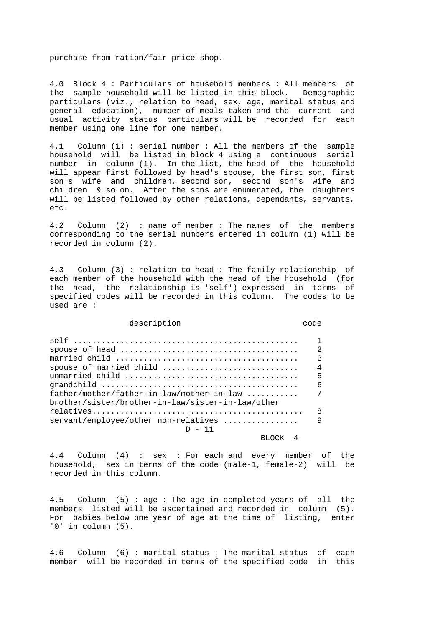purchase from ration/fair price shop.

4.0 Block 4 : Particulars of household members : All members of the sample household will be listed in this block. Demographic particulars (viz., relation to head, sex, age, marital status and general education), number of meals taken and the current and usual activity status particulars will be recorded for each member using one line for one member.

4.1 Column (1) : serial number : All the members of the sample household will be listed in block 4 using a continuous serial number in column (1). In the list, the head of the household will appear first followed by head's spouse, the first son, first son's wife and children, second son, second son's wife and children & so on. After the sons are enumerated, the daughters will be listed followed by other relations, dependants, servants, etc.

4.2 Column (2) : name of member : The names of the members corresponding to the serial numbers entered in column (1) will be recorded in column (2).

4.3 Column (3) : relation to head : The family relationship of each member of the household with the head of the household (for the head, the relationship is 'self') expressed in terms of specified codes will be recorded in this column. The codes to be used are :

#### description code

|                                                   | $\mathcal{D}$ |
|---------------------------------------------------|---------------|
|                                                   | ς             |
| spouse of married child                           | 4             |
|                                                   | 5             |
|                                                   | 6             |
| father/mother/father-in-law/mother-in-law         | 7             |
| brother/sister/brother-in-law/sister-in-law/other |               |
|                                                   | 8             |
| $s$ ervant/employee/other non-relatives           | q             |
| 11 – ח                                            |               |
|                                                   |               |

4.4 Column (4) : sex : For each and every member of the household, sex in terms of the code (male-1, female-2) will be recorded in this column.

4.5 Column (5) : age : The age in completed years of all the members listed will be ascertained and recorded in column (5). For babies below one year of age at the time of listing, enter '0' in column (5).

4.6 Column (6) : marital status : The marital status of each member will be recorded in terms of the specified code in this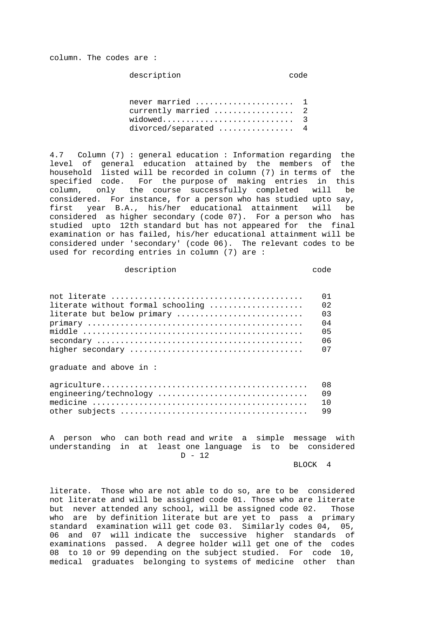column. The codes are :

description code

| never married  1       |  |
|------------------------|--|
| currently married  2   |  |
| widowed 3              |  |
| divorced/separated $4$ |  |

4.7 Column (7) : general education : Information regarding the level of general education attained by the members of the household listed will be recorded in column (7) in terms of the specified code. For the purpose of making entries in this column, only the course successfully completed will be considered. For instance, for a person who has studied upto say, first year B.A., his/her educational attainment will be considered as higher secondary (code 07). For a person who has studied upto 12th standard but has not appeared for the final examination or has failed, his/her educational attainment will be considered under 'secondary' (code 06). The relevant codes to be used for recording entries in column (7) are :

#### description and code

| literate without formal schooling  02 |  |
|---------------------------------------|--|
|                                       |  |
|                                       |  |
|                                       |  |
|                                       |  |
|                                       |  |

graduate and above in :

A person who can both read and write a simple message with understanding in at least one language is to be considered D - 12

BLOCK 4

literate. Those who are not able to do so, are to be considered not literate and will be assigned code 01. Those who are literate but never attended any school, will be assigned code 02. Those who are by definition literate but are yet to pass a primary standard examination will get code 03. Similarly codes 04, 05, 06 and 07 will indicate the successive higher standards of examinations passed. A degree holder will get one of the codes 08 to 10 or 99 depending on the subject studied. For code 10, medical graduates belonging to systems of medicine other than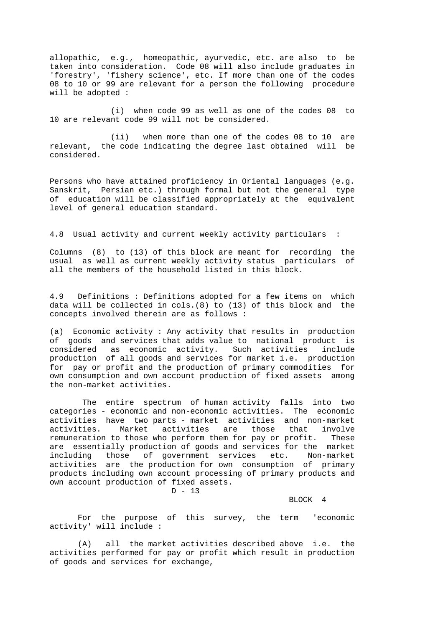allopathic, e.g., homeopathic, ayurvedic, etc. are also to be taken into consideration. Code 08 will also include graduates in 'forestry', 'fishery science', etc. If more than one of the codes 08 to 10 or 99 are relevant for a person the following procedure will be adopted :

 (i) when code 99 as well as one of the codes 08 to 10 are relevant code 99 will not be considered.

 (ii) when more than one of the codes 08 to 10 are relevant, the code indicating the degree last obtained will be considered.

Persons who have attained proficiency in Oriental languages (e.g. Sanskrit, Persian etc.) through formal but not the general type of education will be classified appropriately at the equivalent level of general education standard.

# 4.8 Usual activity and current weekly activity particulars :

Columns (8) to (13) of this block are meant for recording the usual as well as current weekly activity status particulars of all the members of the household listed in this block.

4.9 Definitions : Definitions adopted for a few items on which data will be collected in cols.(8) to (13) of this block and the concepts involved therein are as follows :

(a) Economic activity : Any activity that results in production of goods and services that adds value to national product is considered as economic activity. Such activities include production of all goods and services for market i.e. production for pay or profit and the production of primary commodities for own consumption and own account production of fixed assets among the non-market activities.

 The entire spectrum of human activity falls into two categories - economic and non-economic activities. The economic activities have two parts - market activities and non-market activities. Market activities are those that involve remuneration to those who perform them for pay or profit. These are essentially production of goods and services for the market including those of government services etc. Non-market activities are the production for own consumption of primary products including own account processing of primary products and own account production of fixed assets.

D - 13

BLOCK 4

 For the purpose of this survey, the term 'economic activity' will include :

 (A) all the market activities described above i.e. the activities performed for pay or profit which result in production of goods and services for exchange,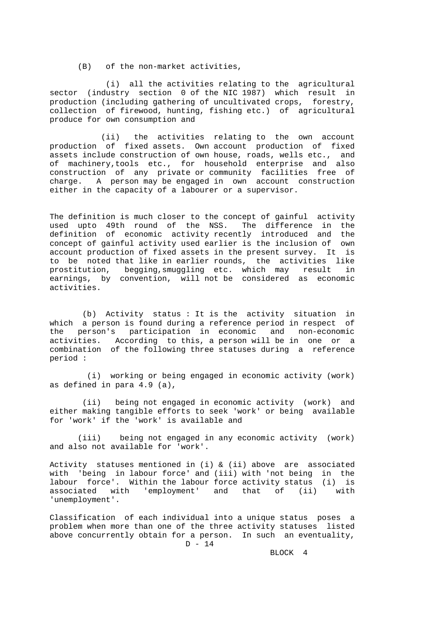(B) of the non-market activities,

 (i) all the activities relating to the agricultural sector (industry section 0 of the NIC 1987) which result in production (including gathering of uncultivated crops, forestry, collection of firewood, hunting, fishing etc.) of agricultural produce for own consumption and

 (ii) the activities relating to the own account production of fixed assets. Own account production of fixed assets include construction of own house, roads, wells etc., and of machinery,tools etc., for household enterprise and also construction of any private or community facilities free of charge. A person may be engaged in own account construction either in the capacity of a labourer or a supervisor.

The definition is much closer to the concept of gainful activity used upto 49th round of the NSS. The difference in the definition of economic activity recently introduced and the concept of gainful activity used earlier is the inclusion of own account production of fixed assets in the present survey. It is to be noted that like in earlier rounds, the activities like prostitution, begging,smuggling etc. which may result in earnings, by convention, will not be considered as economic activities.

 (b) Activity status : It is the activity situation in which a person is found during a reference period in respect of the person's participation in economic and non-economic activities. According to this, a person will be in one or a combination of the following three statuses during a reference period :

 (i) working or being engaged in economic activity (work) as defined in para 4.9 (a),

 (ii) being not engaged in economic activity (work) and either making tangible efforts to seek 'work' or being available for 'work' if the 'work' is available and

 (iii) being not engaged in any economic activity (work) and also not available for 'work'.

Activity statuses mentioned in (i) & (ii) above are associated with 'being in labour force' and (iii) with 'not being in the labour force'. Within the labour force activity status (i) is associated with 'employment' and that of (ii) with 'unemployment'.

Classification of each individual into a unique status poses a problem when more than one of the three activity statuses listed above concurrently obtain for a person. In such an eventuality,  $D - 14$ 

BLOCK 4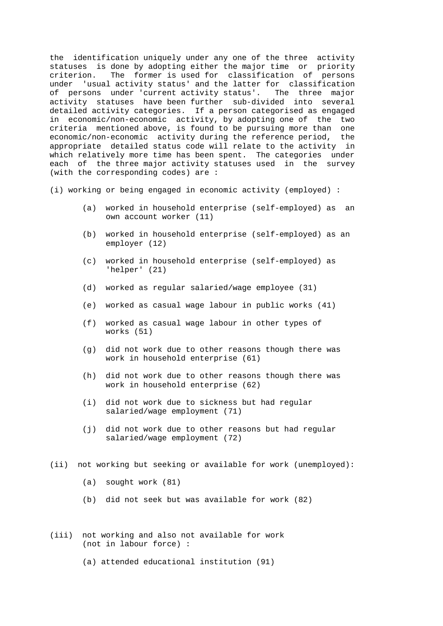the identification uniquely under any one of the three activity statuses is done by adopting either the major time or priority criterion. The former is used for classification of persons under 'usual activity status' and the latter for classification of persons under 'current activity status'. The three major activity statuses have been further sub-divided into several detailed activity categories. If a person categorised as engaged in economic/non-economic activity, by adopting one of the two criteria mentioned above, is found to be pursuing more than one economic/non-economic activity during the reference period, the appropriate detailed status code will relate to the activity in which relatively more time has been spent. The categories under each of the three major activity statuses used in the survey (with the corresponding codes) are :

(i) working or being engaged in economic activity (employed) :

- (a) worked in household enterprise (self-employed) as an own account worker (11)
- (b) worked in household enterprise (self-employed) as an employer (12)
- (c) worked in household enterprise (self-employed) as 'helper' (21)
- (d) worked as regular salaried/wage employee (31)
- (e) worked as casual wage labour in public works (41)
- (f) worked as casual wage labour in other types of works (51)
- (g) did not work due to other reasons though there was work in household enterprise (61)
- (h) did not work due to other reasons though there was work in household enterprise (62)
- (i) did not work due to sickness but had regular salaried/wage employment (71)
- (j) did not work due to other reasons but had regular salaried/wage employment (72)
- (ii) not working but seeking or available for work (unemployed):
	- (a) sought work (81)
	- (b) did not seek but was available for work (82)
- (iii) not working and also not available for work (not in labour force) :
	- (a) attended educational institution (91)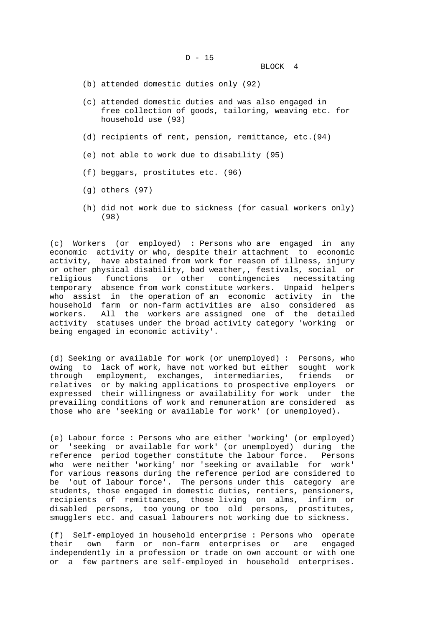D - 15

BLOCK 4

- (b) attended domestic duties only (92)
- (c) attended domestic duties and was also engaged in free collection of goods, tailoring, weaving etc. for household use (93)
- (d) recipients of rent, pension, remittance, etc.(94)
- (e) not able to work due to disability (95)
- (f) beggars, prostitutes etc. (96)
- (g) others (97)
- (h) did not work due to sickness (for casual workers only) (98)

(c) Workers (or employed) : Persons who are engaged in any economic activity or who, despite their attachment to economic activity, have abstained from work for reason of illness, injury or other physical disability, bad weather,, festivals, social or religious functions or other contingencies necessitating temporary absence from work constitute workers. Unpaid helpers who assist in the operation of an economic activity in the household farm or non-farm activities are also considered as workers. All the workers are assigned one of the detailed activity statuses under the broad activity category 'working or being engaged in economic activity'.

(d) Seeking or available for work (or unemployed) : Persons, who owing to lack of work, have not worked but either sought work through employment, exchanges, intermediaries, friends or relatives or by making applications to prospective employers or expressed their willingness or availability for work under the prevailing conditions of work and remuneration are considered as those who are 'seeking or available for work' (or unemployed).

(e) Labour force : Persons who are either 'working' (or employed) or 'seeking or available for work' (or unemployed) during the reference period together constitute the labour force. Persons who were neither 'working' nor 'seeking or available for work' for various reasons during the reference period are considered to be 'out of labour force'. The persons under this category are students, those engaged in domestic duties, rentiers, pensioners, recipients of remittances, those living on alms, infirm or disabled persons, too young or too old persons, prostitutes, smugglers etc. and casual labourers not working due to sickness.

(f) Self-employed in household enterprise : Persons who operate their own farm or non-farm enterprises or are engaged independently in a profession or trade on own account or with one or a few partners are self-employed in household enterprises.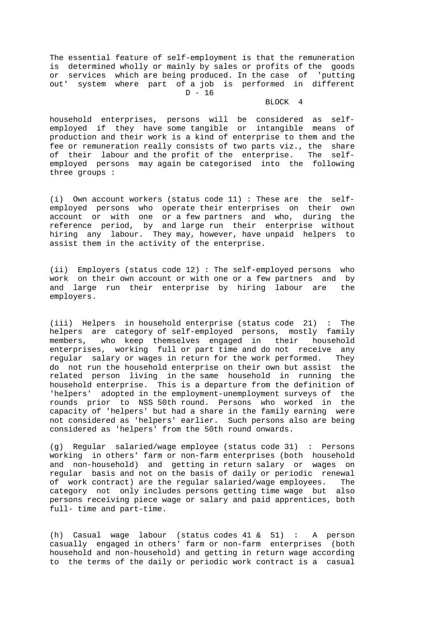The essential feature of self-employment is that the remuneration is determined wholly or mainly by sales or profits of the goods or services which are being produced. In the case of 'putting out' system where part of a job is performed in different  $D - 16$ 

#### BLOCK 4

household enterprises, persons will be considered as selfemployed if they have some tangible or intangible means of production and their work is a kind of enterprise to them and the fee or remuneration really consists of two parts viz., the share of their labour and the profit of the enterprise. The selfemployed persons may again be categorised into the following three groups :

(i) Own account workers (status code 11) : These are the selfemployed persons who operate their enterprises on their own account or with one or a few partners and who, during the reference period, by and large run their enterprise without hiring any labour. They may, however, have unpaid helpers to assist them in the activity of the enterprise.

(ii) Employers (status code 12) : The self-employed persons who work on their own account or with one or a few partners and by and large run their enterprise by hiring labour are the employers.

(iii) Helpers in household enterprise (status code 21) : The helpers are category of self-employed persons, mostly family members, who keep themselves engaged in their household enterprises, working full or part time and do not receive any regular salary or wages in return for the work performed. They do not run the household enterprise on their own but assist the related person living in the same household in running the household enterprise. This is a departure from the definition of 'helpers' adopted in the employment-unemployment surveys of the rounds prior to NSS 50th round. Persons who worked in the capacity of 'helpers' but had a share in the family earning were not considered as 'helpers' earlier. Such persons also are being considered as 'helpers' from the 50th round onwards.

(g) Regular salaried/wage employee (status code 31) : Persons working in others' farm or non-farm enterprises (both household and non-household) and getting in return salary or wages on regular basis and not on the basis of daily or periodic renewal of work contract) are the regular salaried/wage employees. The category not only includes persons getting time wage but also persons receiving piece wage or salary and paid apprentices, both full- time and part-time.

(h) Casual wage labour (status codes 41 & 51) : A person casually engaged in others' farm or non-farm enterprises (both household and non-household) and getting in return wage according to the terms of the daily or periodic work contract is a casual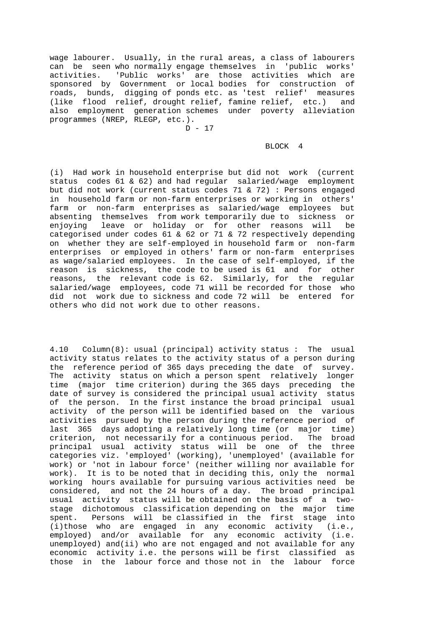wage labourer. Usually, in the rural areas, a class of labourers can be seen who normally engage themselves in 'public works' activities. 'Public works' are those activities which are sponsored by Government or local bodies for construction of roads, bunds, digging of ponds etc. as 'test relief' measures (like flood relief, drought relief, famine relief, etc.) and also employment generation schemes under poverty alleviation programmes (NREP, RLEGP, etc.).

 $D - 17$ 

## BLOCK 4

(i) Had work in household enterprise but did not work (current status codes 61 & 62) and had regular salaried/wage employment but did not work (current status codes 71 & 72) : Persons engaged in household farm or non-farm enterprises or working in others' farm or non-farm enterprises as salaried/wage employees but absenting themselves from work temporarily due to sickness or enjoying leave or holiday or for other reasons will be categorised under codes 61 & 62 or 71 & 72 respectively depending on whether they are self-employed in household farm or non-farm enterprises or employed in others' farm or non-farm enterprises as wage/salaried employees. In the case of self-employed, if the reason is sickness, the code to be used is 61 and for other reasons, the relevant code is 62. Similarly, for the regular salaried/wage employees, code 71 will be recorded for those who did not work due to sickness and code 72 will be entered for others who did not work due to other reasons.

4.10 Column(8): usual (principal) activity status : The usual activity status relates to the activity status of a person during the reference period of 365 days preceding the date of survey. The activity status on which a person spent relatively longer time (major time criterion) during the 365 days preceding the date of survey is considered the principal usual activity status of the person. In the first instance the broad principal usual activity of the person will be identified based on the various activities pursued by the person during the reference period of last 365 days adopting a relatively long time (or major time) criterion, not necessarily for a continuous period. The broad principal usual activity status will be one of the three categories viz. 'employed' (working), 'unemployed' (available for work) or 'not in labour force' (neither willing nor available for work). It is to be noted that in deciding this, only the normal working hours available for pursuing various activities need be considered, and not the 24 hours of a day. The broad principal usual activity status will be obtained on the basis of a twostage dichotomous classification depending on the major time spent. Persons will be classified in the first stage into (i)those who are engaged in any economic activity (i.e., employed) and/or available for any economic activity (i.e. unemployed) and(ii) who are not engaged and not available for any economic activity i.e. the persons will be first classified as those in the labour force and those not in the labour force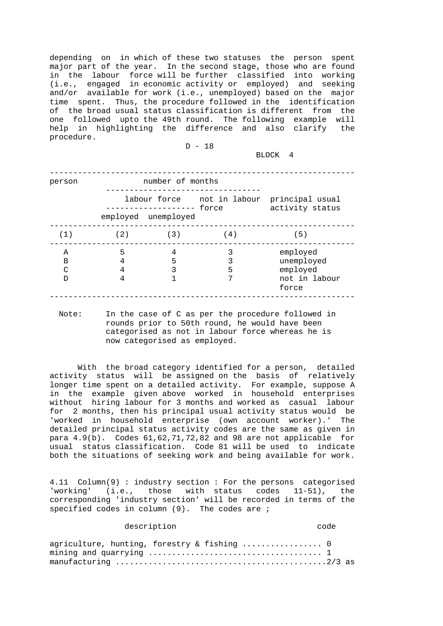depending on in which of these two statuses the person spent major part of the year. In the second stage, those who are found in the labour force will be further classified into working (i.e., engaged in economic activity or employed) and seeking and/or available for work (i.e., unemployed) based on the major time spent. Thus, the procedure followed in the identification of the broad usual status classification is different from the one followed upto the 49th round. The following example will help in highlighting the difference and also clarify the procedure.

D - 18

BLOCK 4

| person                            |                  | number of months                               |        |                                                               |
|-----------------------------------|------------------|------------------------------------------------|--------|---------------------------------------------------------------|
|                                   |                  | ----------------- force<br>employed unemployed |        | labour force not in labour principal usual<br>activity status |
| (1)                               | (2)              | (3)                                            | (4)    | (5)                                                           |
| Α<br>В<br>$\curvearrowright$<br>ח | 5<br>4<br>4<br>4 | 4<br>5<br>ς                                    | 5<br>7 | employed<br>unemployed<br>employed<br>not in labour<br>force  |

 Note: In the case of C as per the procedure followed in rounds prior to 50th round, he would have been categorised as not in labour force whereas he is now categorised as employed.

 With the broad category identified for a person, detailed activity status will be assigned on the basis of relatively longer time spent on a detailed activity. For example, suppose A in the example given above worked in household enterprises without hiring labour for 3 months and worked as casual labour for 2 months, then his principal usual activity status would be 'worked in household enterprise (own account worker).' The detailed principal status activity codes are the same as given in para 4.9(b). Codes 61,62,71,72,82 and 98 are not applicable for usual status classification. Code 81 will be used to indicate both the situations of seeking work and being available for work.

4.11 Column(9) : industry section : For the persons categorised 'working' (i.e., those with status codes 11-51), the corresponding 'industry section' will be recorded in terms of the specified codes in column (9). The codes are ;

# description and code

|  | agriculture, hunting, forestry & fishing  0 |  |
|--|---------------------------------------------|--|
|  |                                             |  |
|  |                                             |  |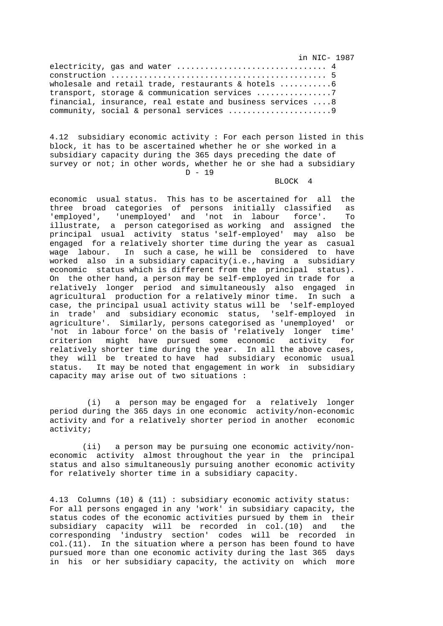in NIC- 1987 electricity, gas and water ................................... 4 construction .............................................. 5 wholesale and retail trade, restaurants & hotels .............6 transport, storage & communication services ..................7 financial, insurance, real estate and business services ....8 community, social & personal services ...............................9

4.12 subsidiary economic activity : For each person listed in this block, it has to be ascertained whether he or she worked in a subsidiary capacity during the 365 days preceding the date of survey or not; in other words, whether he or she had a subsidiary  $D - 19$ 

#### BLOCK 4

economic usual status. This has to be ascertained for all the three broad categories of persons initially classified as 'employed', 'unemployed' and 'not in labour force'. To illustrate, a person categorised as working and assigned the principal usual activity status 'self-employed' may also be engaged for a relatively shorter time during the year as casual wage labour. In such a case, he will be considered to have worked also in a subsidiary capacity(i.e.,having a subsidiary economic status which is different from the principal status). On the other hand, a person may be self-employed in trade for a relatively longer period and simultaneously also engaged in agricultural production for a relatively minor time. In such a case, the principal usual activity status will be 'self-employed in trade' and subsidiary economic status, 'self-employed in agriculture'. Similarly, persons categorised as 'unemployed' or 'not in labour force' on the basis of 'relatively longer time' criterion might have pursued some economic activity for relatively shorter time during the year. In all the above cases, they will be treated to have had subsidiary economic usual status. It may be noted that engagement in work in subsidiary capacity may arise out of two situations :

 (i) a person may be engaged for a relatively longer period during the 365 days in one economic activity/non-economic activity and for a relatively shorter period in another economic activity;

 (ii) a person may be pursuing one economic activity/noneconomic activity almost throughout the year in the principal status and also simultaneously pursuing another economic activity for relatively shorter time in a subsidiary capacity.

4.13 Columns (10) & (11) : subsidiary economic activity status: For all persons engaged in any 'work' in subsidiary capacity, the status codes of the economic activities pursued by them in their subsidiary capacity will be recorded in col.(10) and the corresponding 'industry section' codes will be recorded in col.(11). In the situation where a person has been found to have pursued more than one economic activity during the last 365 days in his or her subsidiary capacity, the activity on which more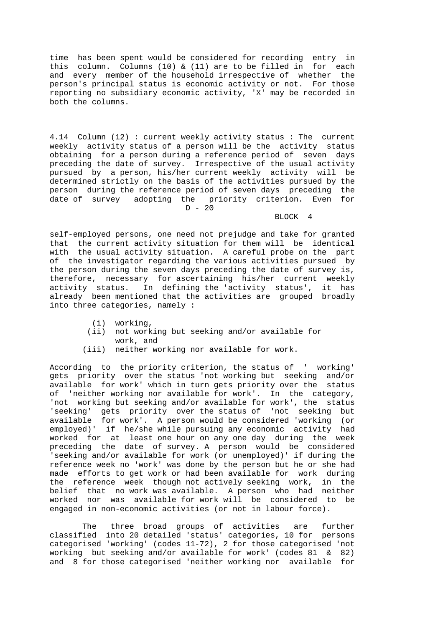time has been spent would be considered for recording entry in this column. Columns (10) & (11) are to be filled in for each and every member of the household irrespective of whether the person's principal status is economic activity or not. For those reporting no subsidiary economic activity, 'X' may be recorded in both the columns.

4.14 Column (12) : current weekly activity status : The current weekly activity status of a person will be the activity status obtaining for a person during a reference period of seven days preceding the date of survey. Irrespective of the usual activity pursued by a person, his/her current weekly activity will be determined strictly on the basis of the activities pursued by the person during the reference period of seven days preceding the date of survey adopting the priority criterion. Even for  $D - 20$ 

#### BLOCK 4

self-employed persons, one need not prejudge and take for granted that the current activity situation for them will be identical with the usual activity situation. A careful probe on the part of the investigator regarding the various activities pursued by the person during the seven days preceding the date of survey is, therefore, necessary for ascertaining his/her current weekly activity status. In defining the 'activity status', it has already been mentioned that the activities are grouped broadly into three categories, namely :

- (i) working,
- (ii) not working but seeking and/or available for work, and
- (iii) neither working nor available for work.

According to the priority criterion, the status of ' working' gets priority over the status 'not working but seeking and/or available for work' which in turn gets priority over the status of 'neither working nor available for work'. In the category, 'not working but seeking and/or available for work', the status 'seeking' gets priority over the status of 'not seeking but available for work'. A person would be considered 'working (or employed)' if he/she while pursuing any economic activity had worked for at least one hour on any one day during the week preceding the date of survey. A person would be considered 'seeking and/or available for work (or unemployed)' if during the reference week no 'work' was done by the person but he or she had made efforts to get work or had been available for work during the reference week though not actively seeking work, in the belief that no work was available. A person who had neither worked nor was available for work will be considered to be engaged in non-economic activities (or not in labour force).

 The three broad groups of activities are further classified into 20 detailed 'status' categories, 10 for persons categorised 'working' (codes 11-72), 2 for those categorised 'not working but seeking and/or available for work' (codes 81 & 82) and 8 for those categorised 'neither working nor available for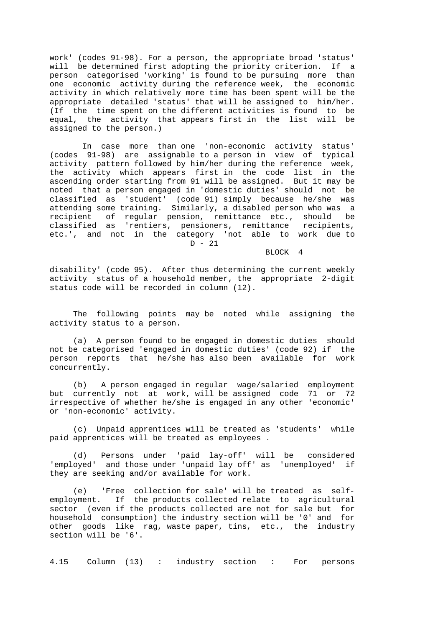work' (codes 91-98). For a person, the appropriate broad 'status' will be determined first adopting the priority criterion. If a person categorised 'working' is found to be pursuing more than one economic activity during the reference week, the economic activity in which relatively more time has been spent will be the appropriate detailed 'status' that will be assigned to him/her. (If the time spent on the different activities is found to be equal, the activity that appears first in the list will be assigned to the person.)

 In case more than one 'non-economic activity status' (codes 91-98) are assignable to a person in view of typical activity pattern followed by him/her during the reference week, the activity which appears first in the code list in the ascending order starting from 91 will be assigned. But it may be noted that a person engaged in 'domestic duties' should not be classified as 'student' (code 91) simply because he/she was attending some training. Similarly, a disabled person who was a recipient of regular pension, remittance etc., should be classified as 'rentiers, pensioners, remittance recipients, etc.', and not in the category 'not able to work due to  $D - 21$ 

BLOCK 4

disability' (code 95). After thus determining the current weekly activity status of a household member, the appropriate 2-digit status code will be recorded in column (12).

 The following points may be noted while assigning the activity status to a person.

 (a) A person found to be engaged in domestic duties should not be categorised 'engaged in domestic duties' (code 92) if the person reports that he/she has also been available for work concurrently.

 (b) A person engaged in regular wage/salaried employment but currently not at work, will be assigned code 71 or 72 irrespective of whether he/she is engaged in any other 'economic' or 'non-economic' activity.

 (c) Unpaid apprentices will be treated as 'students' while paid apprentices will be treated as employees .

 (d) Persons under 'paid lay-off' will be considered 'employed' and those under 'unpaid lay off' as 'unemployed' if they are seeking and/or available for work.

 (e) 'Free collection for sale' will be treated as selfemployment. If the products collected relate to agricultural sector (even if the products collected are not for sale but for household consumption) the industry section will be '0' and for other goods like rag, waste paper, tins, etc., the industry section will be '6'.

4.15 Column (13) : industry section : For persons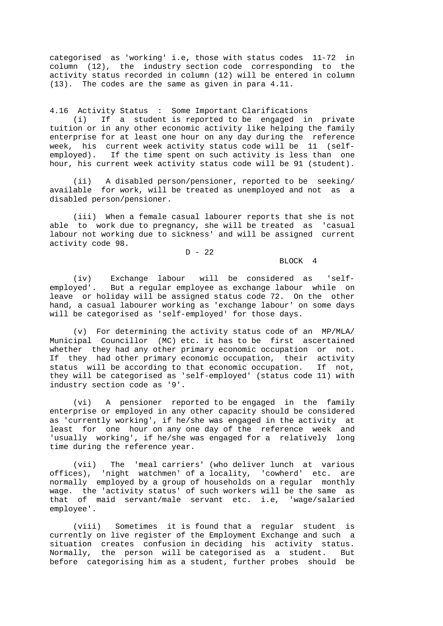categorised as 'working' i.e, those with status codes 11-72 in column (12), the industry section code corresponding to the activity status recorded in column (12) will be entered in column (13). The codes are the same as given in para 4.11.

4.16 Activity Status : Some Important Clarifications

 (i) If a student is reported to be engaged in private tuition or in any other economic activity like helping the family enterprise for at least one hour on any day during the reference week, his current week activity status code will be 11 (selfemployed). If the time spent on such activity is less than one hour, his current week activity status code will be 91 (student).

 (ii) A disabled person/pensioner, reported to be seeking/ available for work, will be treated as unemployed and not as a disabled person/pensioner.

 (iii) When a female casual labourer reports that she is not able to work due to pregnancy, she will be treated as 'casual labour not working due to sickness' and will be assigned current activity code 98.

# $D - 22$

BLOCK 4

 (iv) Exchange labour will be considered as 'selfemployed'. But a regular employee as exchange labour while on leave or holiday will be assigned status code 72. On the other hand, a casual labourer working as 'exchange labour' on some days will be categorised as 'self-employed' for those days.

 (v) For determining the activity status code of an MP/MLA/ Municipal Councillor (MC) etc. it has to be first ascertained whether they had any other primary economic occupation or not. If they had other primary economic occupation, their activity status will be according to that economic occupation. If not, they will be categorised as 'self-employed' (status code 11) with industry section code as '9'.

 (vi) A pensioner reported to be engaged in the family enterprise or employed in any other capacity should be considered as 'currently working', if he/she was engaged in the activity at least for one hour on any one day of the reference week and 'usually working', if he/she was engaged for a relatively long time during the reference year.

 (vii) The 'meal carriers' (who deliver lunch at various offices), 'night watchmen' of a locality, 'cowherd' etc. are normally employed by a group of households on a regular monthly wage. the 'activity status' of such workers will be the same as that of maid servant/male servant etc. i.e, 'wage/salaried employee'.

 (viii) Sometimes it is found that a regular student is currently on live register of the Employment Exchange and such a situation creates confusion in deciding his activity status. Normally, the person will be categorised as a student. But before categorising him as a student, further probes should be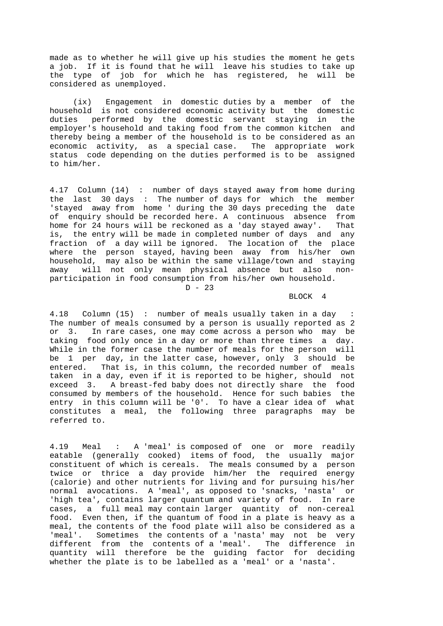made as to whether he will give up his studies the moment he gets a job. If it is found that he will leave his studies to take up the type of job for which he has registered, he will be considered as unemployed.

 (ix) Engagement in domestic duties by a member of the household is not considered economic activity but the domestic duties performed by the domestic servant staying in the employer's household and taking food from the common kitchen and thereby being a member of the household is to be considered as an economic activity, as a special case. The appropriate work status code depending on the duties performed is to be assigned to him/her.

4.17 Column (14) : number of days stayed away from home during the last 30 days : The number of days for which the member 'stayed away from home ' during the 30 days preceding the date of enquiry should be recorded here. A continuous absence from home for 24 hours will be reckoned as a 'day stayed away'. That is, the entry will be made in completed number of days and any fraction of a day will be ignored. The location of the place where the person stayed, having been away from his/her own household, may also be within the same village/town and staying away will not only mean physical absence but also nonparticipation in food consumption from his/her own household.  $D - 23$ 

BLOCK 4

4.18 Column (15) : number of meals usually taken in a day The number of meals consumed by a person is usually reported as 2 or 3. In rare cases, one may come across a person who may be taking food only once in a day or more than three times a day. While in the former case the number of meals for the person will be 1 per day, in the latter case, however, only  $3$  should be entered. That is, in this column, the recorded number of meals taken in a day, even if it is reported to be higher, should not exceed 3. A breast-fed baby does not directly share the food consumed by members of the household. Hence for such babies the entry in this column will be '0'. To have a clear idea of what constitutes a meal, the following three paragraphs may be referred to.

4.19 Meal : A 'meal' is composed of one or more readily eatable (generally cooked) items of food, the usually major constituent of which is cereals. The meals consumed by a person twice or thrice a day provide him/her the required energy (calorie) and other nutrients for living and for pursuing his/her normal avocations. A 'meal', as opposed to 'snacks, 'nasta' or 'high tea', contains larger quantum and variety of food. In rare cases, a full meal may contain larger quantity of non-cereal food. Even then, if the quantum of food in a plate is heavy as a meal, the contents of the food plate will also be considered as a 'meal'. Sometimes the contents of a 'nasta' may not be very different from the contents of a 'meal'. The difference in quantity will therefore be the guiding factor for deciding whether the plate is to be labelled as a 'meal' or a 'nasta'.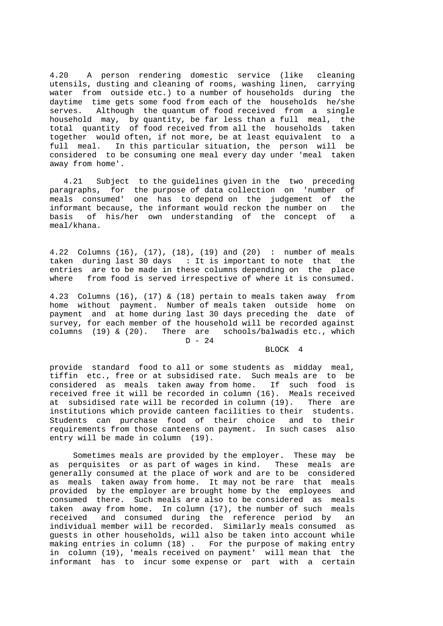4.20 A person rendering domestic service (like cleaning utensils, dusting and cleaning of rooms, washing linen, carrying water from outside etc.) to a number of households during the daytime time gets some food from each of the households he/she serves. Although the quantum of food received from a single household may, by quantity, be far less than a full meal, the total quantity of food received from all the households taken together would often, if not more, be at least equivalent to a full meal. In this particular situation, the person will be considered to be consuming one meal every day under 'meal taken away from home'.

 4.21 Subject to the guidelines given in the two preceding paragraphs, for the purpose of data collection on 'number of meals consumed' one has to depend on the judgement of the informant because, the informant would reckon the number on the basis of his/her own understanding of the concept of a meal/khana.

4.22 Columns (16), (17), (18), (19) and (20) : number of meals taken during last 30 days : It is important to note that the entries are to be made in these columns depending on the place where from food is served irrespective of where it is consumed.

4.23 Columns (16), (17) & (18) pertain to meals taken away from home without payment. Number of meals taken outside home on payment and at home during last 30 days preceding the date of survey, for each member of the household will be recorded against columns (19)  $\&$  (20). There are schools/balwadis etc., which  $D - 24$ 

# BLOCK 4

provide standard food to all or some students as midday meal, tiffin etc., free or at subsidised rate. Such meals are to be considered as meals taken away from home. If such food is received free it will be recorded in column (16). Meals received at subsidised rate will be recorded in column (19). There are institutions which provide canteen facilities to their students. Students can purchase food of their choice and to their requirements from those canteens on payment. In such cases also entry will be made in column (19).

 Sometimes meals are provided by the employer. These may be as perquisites or as part of wages in kind. These meals are generally consumed at the place of work and are to be considered as meals taken away from home. It may not be rare that meals provided by the employer are brought home by the employees and consumed there. Such meals are also to be considered as meals taken away from home. In column (17), the number of such meals received and consumed during the reference period by an individual member will be recorded. Similarly meals consumed as guests in other households, will also be taken into account while making entries in column (18) . For the purpose of making entry in column (19), 'meals received on payment' will mean that the informant has to incur some expense or part with a certain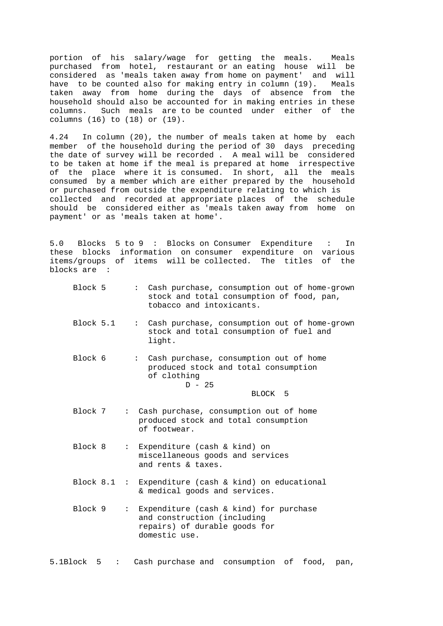portion of his salary/wage for getting the meals. Meals purchased from hotel, restaurant or an eating house will be considered as 'meals taken away from home on payment' and will have to be counted also for making entry in column (19). Meals taken away from home during the days of absence from the household should also be accounted for in making entries in these columns. Such meals are to be counted under either of the columns (16) to (18) or (19).

4.24 In column (20), the number of meals taken at home by each member of the household during the period of 30 days preceding the date of survey will be recorded . A meal will be considered to be taken at home if the meal is prepared at home irrespective of the place where it is consumed. In short, all the meals consumed by a member which are either prepared by the household or purchased from outside the expenditure relating to which is collected and recorded at appropriate places of the schedule should be considered either as 'meals taken away from home on payment' or as 'meals taken at home'.

5.0 Blocks 5 to 9 : Blocks on Consumer Expenditure : In these blocks information on consumer expenditure on various items/groups of items will be collected. The titles of the blocks are :

| Block 5   | : Cash purchase, consumption out of home-grown<br>stock and total consumption of food, pan,<br>tobacco and intoxicants.                                 |  |
|-----------|---------------------------------------------------------------------------------------------------------------------------------------------------------|--|
| Block 5.1 | Cash purchase, consumption out of home-grown<br>$\mathbf{L} = \mathbf{L}$<br>stock and total consumption of fuel and<br>light.                          |  |
| Block 6   | Cash purchase, consumption out of home<br>$\mathbf{L}^{\text{max}}$<br>produced stock and total consumption<br>of clothing<br>$D - 25$<br>BLOCK 5       |  |
| Block 7   | : Cash purchase, consumption out of home<br>produced stock and total consumption<br>of footwear.                                                        |  |
| Block 8   | Expenditure (cash & kind) on<br>$\mathbf{L}$<br>miscellaneous goods and services<br>and rents & taxes.                                                  |  |
|           | Block $8.1$ : Expenditure (cash & kind) on educational<br>& medical goods and services.                                                                 |  |
| Block 9   | Expenditure (cash $\&$ kind) for purchase<br>$\mathbf{L} = \mathbf{L}$<br>and construction (including<br>repairs) of durable goods for<br>domestic use. |  |

5.1Block 5 : Cash purchase and consumption of food, pan,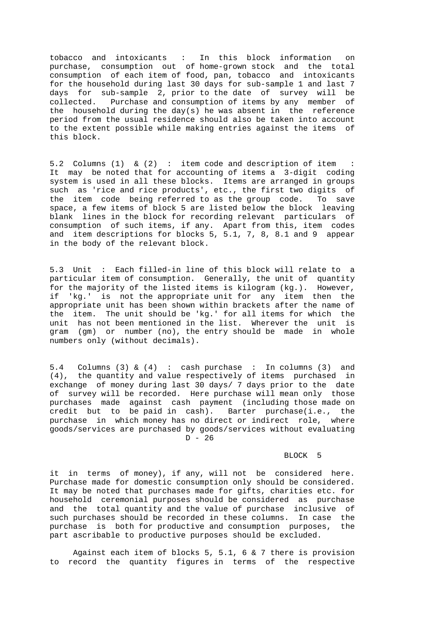tobacco and intoxicants : In this block information on purchase, consumption out of home-grown stock and the total consumption of each item of food, pan, tobacco and intoxicants for the household during last 30 days for sub-sample 1 and last 7 days for sub-sample 2, prior to the date of survey will be collected. Purchase and consumption of items by any member of the household during the day(s) he was absent in the reference period from the usual residence should also be taken into account to the extent possible while making entries against the items of this block.

5.2 Columns (1) & (2) : item code and description of item : It may be noted that for accounting of items a 3-digit coding system is used in all these blocks. Items are arranged in groups such as 'rice and rice products', etc., the first two digits of the item code being referred to as the group code. To save space, a few items of block 5 are listed below the block leaving blank lines in the block for recording relevant particulars of consumption of such items, if any. Apart from this, item codes and item descriptions for blocks 5, 5.1, 7, 8, 8.1 and 9 appear in the body of the relevant block.

5.3 Unit : Each filled-in line of this block will relate to a particular item of consumption. Generally, the unit of quantity for the majority of the listed items is kilogram (kg.). However, if 'kg.' is not the appropriate unit for any item then the appropriate unit has been shown within brackets after the name of the item. The unit should be 'kg.' for all items for which the unit has not been mentioned in the list. Wherever the unit is gram (gm) or number (no), the entry should be made in whole numbers only (without decimals).

5.4 Columns (3) & (4) : cash purchase : In columns (3) and (4), the quantity and value respectively of items purchased in exchange of money during last 30 days/ 7 days prior to the date of survey will be recorded. Here purchase will mean only those purchases made against cash payment (including those made on credit but to be paid in cash). Barter purchase(i.e., the credit but to be paid in  $cash$ . purchase in which money has no direct or indirect role, where goods/services are purchased by goods/services without evaluating  $D - 26$ 

## BLOCK 5

it in terms of money), if any, will not be considered here. Purchase made for domestic consumption only should be considered. It may be noted that purchases made for gifts, charities etc. for household ceremonial purposes should be considered as purchase and the total quantity and the value of purchase inclusive of such purchases should be recorded in these columns. In case the purchase is both for productive and consumption purposes, the part ascribable to productive purposes should be excluded.

 Against each item of blocks 5, 5.1, 6 & 7 there is provision to record the quantity figures in terms of the respective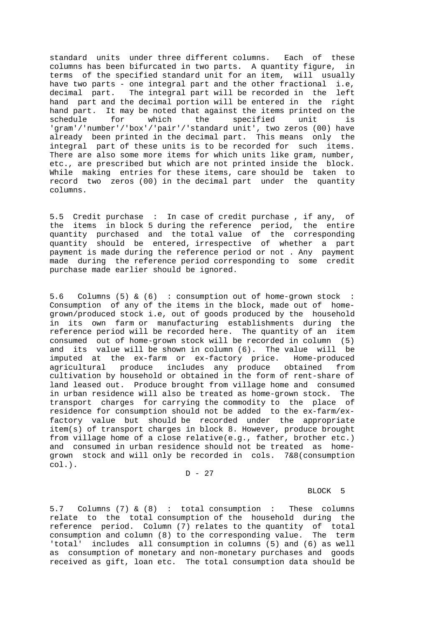standard units under three different columns. Each of these columns has been bifurcated in two parts. A quantity figure, in terms of the specified standard unit for an item, will usually have two parts - one integral part and the other fractional i.e, decimal part. The integral part will be recorded in the left hand part and the decimal portion will be entered in the right hand part. It may be noted that against the items printed on the schedule for which the specified unit is schedule for which the specified unit is 'gram'/'number'/'box'/'pair'/'standard unit', two zeros (00) have already been printed in the decimal part. This means only the integral part of these units is to be recorded for such items. There are also some more items for which units like gram, number, etc., are prescribed but which are not printed inside the block. While making entries for these items, care should be taken to record two zeros (00) in the decimal part under the quantity columns.

5.5 Credit purchase : In case of credit purchase , if any, of the items in block 5 during the reference period, the entire quantity purchased and the total value of the corresponding quantity should be entered, irrespective of whether a part payment is made during the reference period or not . Any payment made during the reference period corresponding to some credit purchase made earlier should be ignored.

5.6 Columns (5) & (6) : consumption out of home-grown stock : Consumption of any of the items in the block, made out of homegrown/produced stock i.e, out of goods produced by the household in its own farm or manufacturing establishments during the reference period will be recorded here. The quantity of an item consumed out of home-grown stock will be recorded in column (5) and its value will be shown in column (6). The value will be imputed at the ex-farm or ex-factory price. Home-produced agricultural produce includes any produce obtained from cultivation by household or obtained in the form of rent-share of land leased out. Produce brought from village home and consumed in urban residence will also be treated as home-grown stock. The transport charges for carrying the commodity to the place of residence for consumption should not be added to the ex-farm/exfactory value but should be recorded under the appropriate item(s) of transport charges in block 8. However, produce brought from village home of a close relative(e.g., father, brother etc.) and consumed in urban residence should not be treated as homegrown stock and will only be recorded in cols. 7&8(consumption col.).

 $D - 27$ 

## BLOCK 5

5.7 Columns (7) & (8) : total consumption : These columns relate to the total consumption of the household during the reference period. Column (7) relates to the quantity of total consumption and column (8) to the corresponding value. The term 'total' includes all consumption in columns (5) and (6) as well as consumption of monetary and non-monetary purchases and goods received as gift, loan etc. The total consumption data should be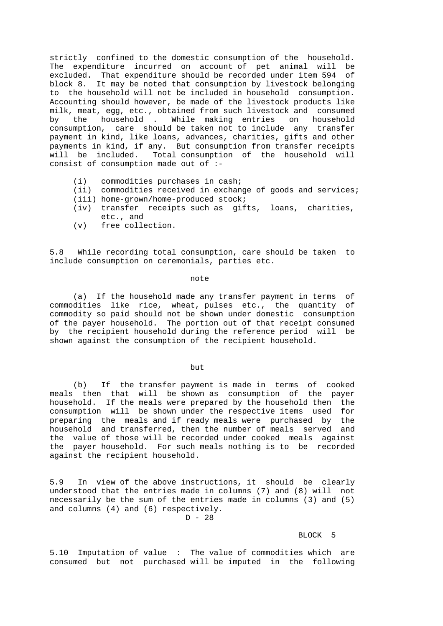strictly confined to the domestic consumption of the household. The expenditure incurred on account of pet animal will be excluded. That expenditure should be recorded under item 594 of block 8. It may be noted that consumption by livestock belonging to the household will not be included in household consumption. Accounting should however, be made of the livestock products like milk, meat, egg, etc., obtained from such livestock and consumed by the household . While making entries on household consumption, care should be taken not to include any transfer payment in kind, like loans, advances, charities, gifts and other payments in kind, if any. But consumption from transfer receipts will be included. Total consumption of the household will consist of consumption made out of :-

- (i) commodities purchases in cash;
- (ii) commodities received in exchange of goods and services;
- (iii) home-grown/home-produced stock;
- (iv) transfer receipts such as gifts, loans, charities, etc., and
- (v) free collection.

5.8 While recording total consumption, care should be taken to include consumption on ceremonials, parties etc.

### note

 (a) If the household made any transfer payment in terms of commodities like rice, wheat, pulses etc., the quantity of commodity so paid should not be shown under domestic consumption of the payer household. The portion out of that receipt consumed by the recipient household during the reference period will be shown against the consumption of the recipient household.

## but a state of the but the but the state of the state of the state of the state of the state of the state of the state of the state of the state of the state of the state of the state of the state of the state of the state

 (b) If the transfer payment is made in terms of cooked meals then that will be shown as consumption of the payer household. If the meals were prepared by the household then the consumption will be shown under the respective items used for preparing the meals and if ready meals were purchased by the household and transferred, then the number of meals served and the value of those will be recorded under cooked meals against the payer household. For such meals nothing is to be recorded against the recipient household.

5.9 In view of the above instructions, it should be clearly understood that the entries made in columns (7) and (8) will not necessarily be the sum of the entries made in columns (3) and (5) and columns (4) and (6) respectively.

#### $D - 28$

## BLOCK 5

5.10 Imputation of value : The value of commodities which are consumed but not purchased will be imputed in the following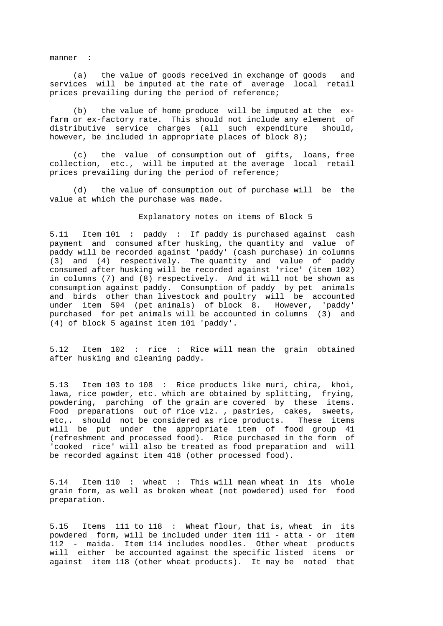manner :

 (a) the value of goods received in exchange of goods and services will be imputed at the rate of average local retail prices prevailing during the period of reference;

 (b) the value of home produce will be imputed at the exfarm or ex-factory rate. This should not include any element of distributive service charges (all such expenditure should, however, be included in appropriate places of block 8);

 (c) the value of consumption out of gifts, loans, free collection, etc., will be imputed at the average local retail prices prevailing during the period of reference;

 (d) the value of consumption out of purchase will be the value at which the purchase was made.

## Explanatory notes on items of Block 5

5.11 Item 101 : paddy : If paddy is purchased against cash payment and consumed after husking, the quantity and value of paddy will be recorded against 'paddy' (cash purchase) in columns (3) and (4) respectively. The quantity and value of paddy consumed after husking will be recorded against 'rice' (item 102) in columns (7) and (8) respectively. And it will not be shown as consumption against paddy. Consumption of paddy by pet animals and birds other than livestock and poultry will be accounted under item 594 (pet animals) of block 8. However, 'paddy' purchased for pet animals will be accounted in columns (3) and (4) of block 5 against item 101 'paddy'.

5.12 Item 102 : rice : Rice will mean the grain obtained after husking and cleaning paddy.

5.13 Item 103 to 108 : Rice products like muri, chira, khoi, lawa, rice powder, etc. which are obtained by splitting, frying, powdering, parching of the grain are covered by these items. Food preparations out of rice viz. , pastries, cakes, sweets, etc,. should not be considered as rice products. These items will be put under the appropriate item of food group 41 (refreshment and processed food). Rice purchased in the form of 'cooked rice' will also be treated as food preparation and will be recorded against item 418 (other processed food).

5.14 Item 110 : wheat : This will mean wheat in its whole grain form, as well as broken wheat (not powdered) used for food preparation.

5.15 Items 111 to 118 : Wheat flour, that is, wheat in its powdered form, will be included under item 111 - atta - or item 112 - maida. Item 114 includes noodles. Other wheat products will either be accounted against the specific listed items or against item 118 (other wheat products). It may be noted that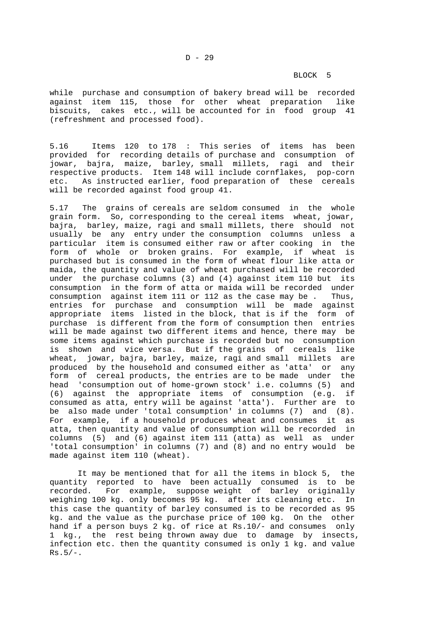## BLOCK 5

while purchase and consumption of bakery bread will be recorded against item 115, those for other wheat preparation like biscuits, cakes etc., will be accounted for in food group 41 (refreshment and processed food).

5.16 Items 120 to 178 : This series of items has been provided for recording details of purchase and consumption of jowar, bajra, maize, barley, small millets, ragi and their respective products. Item 148 will include cornflakes, pop-corn etc. As instructed earlier, food preparation of these cereals will be recorded against food group 41.

5.17 The grains of cereals are seldom consumed in the whole grain form. So, corresponding to the cereal items wheat, jowar, bajra, barley, maize, ragi and small millets, there should not usually be any entry under the consumption columns unless a particular item is consumed either raw or after cooking in the form of whole or broken grains. For example, if wheat is purchased but is consumed in the form of wheat flour like atta or maida, the quantity and value of wheat purchased will be recorded under the purchase columns (3) and (4) against item 110 but its consumption in the form of atta or maida will be recorded under consumption against item 111 or 112 as the case may be . Thus, entries for purchase and consumption will be made against appropriate items listed in the block, that is if the form of purchase is different from the form of consumption then entries will be made against two different items and hence, there may be some items against which purchase is recorded but no consumption is shown and vice versa. But if the grains of cereals like wheat, jowar, bajra, barley, maize, ragi and small millets are produced by the household and consumed either as 'atta' or any form of cereal products, the entries are to be made under the head 'consumption out of home-grown stock' i.e. columns (5) and (6) against the appropriate items of consumption (e.g. if consumed as atta, entry will be against 'atta'). Further are to be also made under 'total consumption' in columns (7) and (8). For example, if a household produces wheat and consumes it as atta, then quantity and value of consumption will be recorded in columns (5) and (6) against item 111 (atta) as well as under 'total consumption' in columns (7) and (8) and no entry would be made against item 110 (wheat).

 It may be mentioned that for all the items in block 5, the quantity reported to have been actually consumed is to be recorded. For example, suppose weight of barley originally weighing 100 kg. only becomes 95 kg. after its cleaning etc. In this case the quantity of barley consumed is to be recorded as 95 kg. and the value as the purchase price of 100 kg. On the other hand if a person buys 2 kg. of rice at Rs.10/- and consumes only 1 kg., the rest being thrown away due to damage by insects, infection etc. then the quantity consumed is only 1 kg. and value  $Rs.5/-.$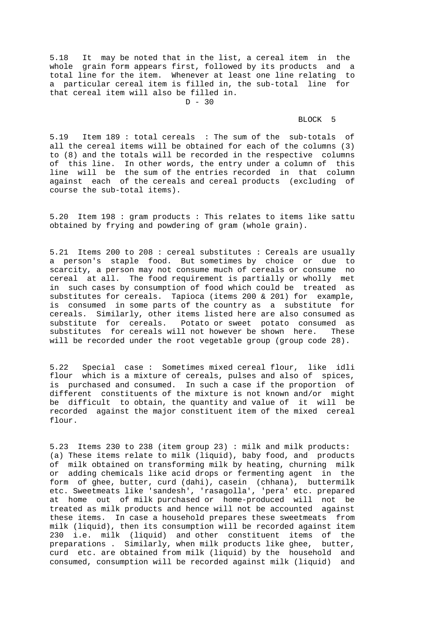5.18 It may be noted that in the list, a cereal item in the whole grain form appears first, followed by its products and a total line for the item. Whenever at least one line relating to a particular cereal item is filled in, the sub-total line for that cereal item will also be filled in.  $D - 30$ 

## BLOCK 5

5.19 Item 189 : total cereals : The sum of the sub-totals of all the cereal items will be obtained for each of the columns (3) to (8) and the totals will be recorded in the respective columns of this line. In other words, the entry under a column of this line will be the sum of the entries recorded in that column against each of the cereals and cereal products (excluding of course the sub-total items).

5.20 Item 198 : gram products : This relates to items like sattu obtained by frying and powdering of gram (whole grain).

5.21 Items 200 to 208 : cereal substitutes : Cereals are usually a person's staple food. But sometimes by choice or due to scarcity, a person may not consume much of cereals or consume no cereal at all. The food requirement is partially or wholly met in such cases by consumption of food which could be treated as substitutes for cereals. Tapioca (items 200 & 201) for example, is consumed in some parts of the country as a substitute for cereals. Similarly, other items listed here are also consumed as substitute for cereals. Potato or sweet potato consumed as substitutes for cereals will not however be shown here. These will be recorded under the root vegetable group (group code 28).

5.22 Special case : Sometimes mixed cereal flour, like idli flour which is a mixture of cereals, pulses and also of spices, is purchased and consumed. In such a case if the proportion of different constituents of the mixture is not known and/or might be difficult to obtain, the quantity and value of it will be recorded against the major constituent item of the mixed cereal flour.

5.23 Items 230 to 238 (item group 23) : milk and milk products: (a) These items relate to milk (liquid), baby food, and products of milk obtained on transforming milk by heating, churning milk or adding chemicals like acid drops or fermenting agent in the form of ghee, butter, curd (dahi), casein (chhana), buttermilk etc. Sweetmeats like 'sandesh', 'rasagolla', 'pera' etc. prepared at home out of milk purchased or home-produced will not be treated as milk products and hence will not be accounted against these items. In case a household prepares these sweetmeats from milk (liquid), then its consumption will be recorded against item 230 i.e. milk (liquid) and other constituent items of the preparations . Similarly, when milk products like ghee, butter, curd etc. are obtained from milk (liquid) by the household and consumed, consumption will be recorded against milk (liquid) and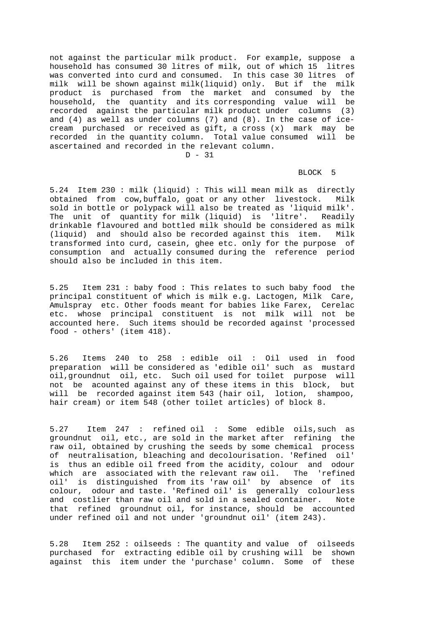not against the particular milk product. For example, suppose a household has consumed 30 litres of milk, out of which 15 litres was converted into curd and consumed. In this case 30 litres of milk will be shown against milk(liquid) only. But if the milk product is purchased from the market and consumed by the household, the quantity and its corresponding value will be recorded against the particular milk product under columns (3) and (4) as well as under columns (7) and (8). In the case of icecream purchased or received as gift, a cross (x) mark may be recorded in the quantity column. Total value consumed will be ascertained and recorded in the relevant column.  $D = 31$ 

## BLOCK 5

5.24 Item 230 : milk (liquid) : This will mean milk as directly obtained from cow,buffalo, goat or any other livestock. Milk sold in bottle or polypack will also be treated as 'liquid milk'. The unit of quantity for milk (liquid) is 'litre'. Readily drinkable flavoured and bottled milk should be considered as milk (liquid) and should also be recorded against this item. Milk transformed into curd, casein, ghee etc. only for the purpose of consumption and actually consumed during the reference period should also be included in this item.

5.25 Item 231 : baby food : This relates to such baby food the principal constituent of which is milk e.g. Lactogen, Milk Care, Amulspray etc. Other foods meant for babies like Farex, Cerelac etc. whose principal constituent is not milk will not be accounted here. Such items should be recorded against 'processed food - others' (item 418).

5.26 Items 240 to 258 : edible oil : Oil used in food preparation will be considered as 'edible oil' such as mustard oil,groundnut oil, etc. Such oil used for toilet purpose will not be acounted against any of these items in this block, but will be recorded against item 543 (hair oil, lotion, shampoo, hair cream) or item 548 (other toilet articles) of block 8.

5.27 Item 247 : refined oil : Some edible oils,such as groundnut oil, etc., are sold in the market after refining the raw oil, obtained by crushing the seeds by some chemical process of neutralisation, bleaching and decolourisation. 'Refined oil' is thus an edible oil freed from the acidity, colour and odour which are associated with the relevant raw oil. The 'refined oil' is distinguished from its 'raw oil' by absence of its colour, odour and taste. 'Refined oil' is generally colourless and costlier than raw oil and sold in a sealed container. Note that refined groundnut oil, for instance, should be accounted under refined oil and not under 'groundnut oil' (item 243).

5.28 Item 252 : oilseeds : The quantity and value of oilseeds purchased for extracting edible oil by crushing will be shown against this item under the 'purchase' column. Some of these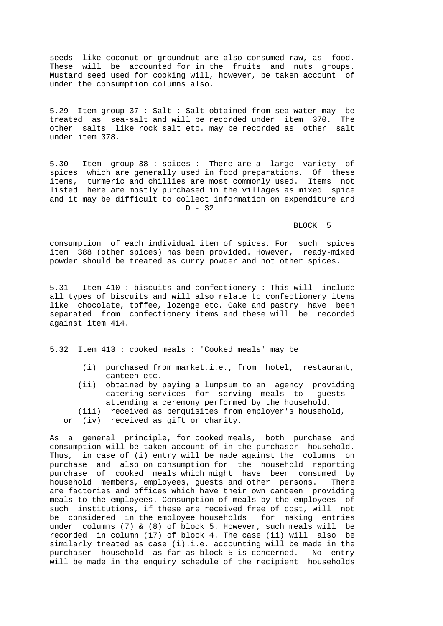seeds like coconut or groundnut are also consumed raw, as food. These will be accounted for in the fruits and nuts groups. Mustard seed used for cooking will, however, be taken account of under the consumption columns also.

5.29 Item group 37 : Salt : Salt obtained from sea-water may be treated as sea-salt and will be recorded under item 370. The other salts like rock salt etc. may be recorded as other salt under item 378.

5.30 Item group 38 : spices : There are a large variety of spices which are generally used in food preparations. Of these items, turmeric and chillies are most commonly used. Items not listed here are mostly purchased in the villages as mixed spice and it may be difficult to collect information on expenditure and  $D - 32$ 

## BLOCK 5

consumption of each individual item of spices. For such spices item 388 (other spices) has been provided. However, ready-mixed powder should be treated as curry powder and not other spices.

5.31 Item 410 : biscuits and confectionery : This will include all types of biscuits and will also relate to confectionery items like chocolate, toffee, lozenge etc. Cake and pastry have been separated from confectionery items and these will be recorded against item 414.

5.32 Item 413 : cooked meals : 'Cooked meals' may be

- (i) purchased from market,i.e., from hotel, restaurant, canteen etc.
- (ii) obtained by paying a lumpsum to an agency providing catering services for serving meals to guests attending a ceremony performed by the household,
- (iii) received as perquisites from employer's household,
- or (iv) received as gift or charity.

As a general principle, for cooked meals, both purchase and consumption will be taken account of in the purchaser household. Thus, in case of (i) entry will be made against the columns on purchase and also on consumption for the household reporting purchase of cooked meals which might have been consumed by household members, employees, guests and other persons. There are factories and offices which have their own canteen providing meals to the employees. Consumption of meals by the employees of such institutions, if these are received free of cost, will not be considered in the employee households for making entries under columns (7) & (8) of block 5. However, such meals will be recorded in column (17) of block 4. The case (ii) will also be similarly treated as case (i).i.e. accounting will be made in the purchaser household as far as block 5 is concerned. No entry will be made in the enquiry schedule of the recipient households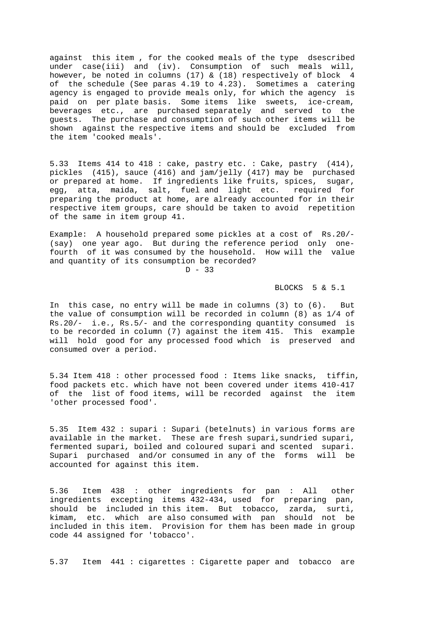against this item , for the cooked meals of the type dsescribed under case(iii) and (iv). Consumption of such meals will, however, be noted in columns (17) & (18) respectively of block 4 of the schedule (See paras 4.19 to 4.23). Sometimes a catering agency is engaged to provide meals only, for which the agency is paid on per plate basis. Some items like sweets, ice-cream, beverages etc., are purchased separately and served to the guests. The purchase and consumption of such other items will be shown against the respective items and should be excluded from the item 'cooked meals'.

5.33 Items 414 to 418 : cake, pastry etc. : Cake, pastry (414), pickles (415), sauce (416) and jam/jelly (417) may be purchased or prepared at home. If ingredients like fruits, spices, sugar, egg, atta, maida, salt, fuel and light etc. required for preparing the product at home, are already accounted for in their respective item groups, care should be taken to avoid repetition of the same in item group 41.

Example: A household prepared some pickles at a cost of Rs.20/- (say) one year ago. But during the reference period only onefourth of it was consumed by the household. How will the value and quantity of its consumption be recorded?

 $D - 33$ 

## BLOCKS 5 & 5.1

In this case, no entry will be made in columns (3) to (6). But the value of consumption will be recorded in column (8) as 1/4 of Rs.20/- i.e., Rs.5/- and the corresponding quantity consumed is to be recorded in column (7) against the item 415. This example will hold good for any processed food which is preserved and consumed over a period.

5.34 Item 418 : other processed food : Items like snacks, tiffin, food packets etc. which have not been covered under items 410-417 of the list of food items, will be recorded against the item 'other processed food'.

5.35 Item 432 : supari : Supari (betelnuts) in various forms are available in the market. These are fresh supari, sundried supari, fermented supari, boiled and coloured supari and scented supari. Supari purchased and/or consumed in any of the forms will be accounted for against this item.

5.36 Item 438 : other ingredients for pan : All other ingredients excepting items 432-434, used for preparing pan, should be included in this item. But tobacco, zarda, surti, kimam, etc. which are also consumed with pan should not be included in this item. Provision for them has been made in group code 44 assigned for 'tobacco'.

5.37 Item 441 : cigarettes : Cigarette paper and tobacco are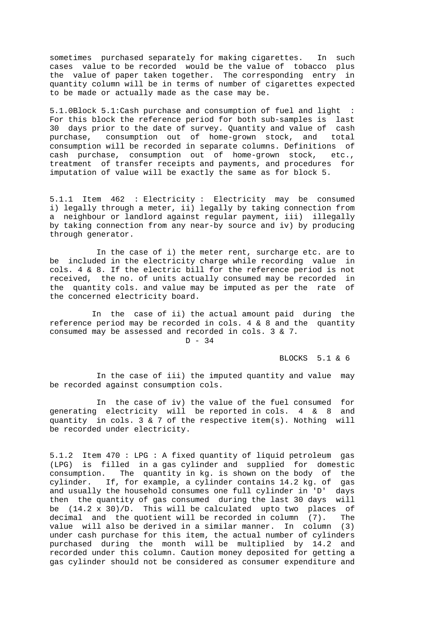sometimes purchased separately for making cigarettes. In such cases value to be recorded would be the value of tobacco plus the value of paper taken together. The corresponding entry in quantity column will be in terms of number of cigarettes expected to be made or actually made as the case may be.

5.1.0Block 5.1:Cash purchase and consumption of fuel and light : For this block the reference period for both sub-samples is last 30 days prior to the date of survey. Quantity and value of cash purchase, consumption out of home-grown stock, and total consumption will be recorded in separate columns. Definitions of cash purchase, consumption out of home-grown stock, etc., treatment of transfer receipts and payments, and procedures for imputation of value will be exactly the same as for block 5.

5.1.1 Item 462 : Electricity : Electricity may be consumed i) legally through a meter, ii) legally by taking connection from a neighbour or landlord against regular payment, iii) illegally by taking connection from any near-by source and iv) by producing through generator.

 In the case of i) the meter rent, surcharge etc. are to be included in the electricity charge while recording value in cols. 4 & 8. If the electric bill for the reference period is not received, the no. of units actually consumed may be recorded in the quantity cols. and value may be imputed as per the rate of the concerned electricity board.

 In the case of ii) the actual amount paid during the reference period may be recorded in cols. 4  $\&$  8 and the quantity consumed may be assessed and recorded in cols. 3 & 7.  $D - 34$ 

BLOCKS 5.1 & 6

 In the case of iii) the imputed quantity and value may be recorded against consumption cols.

 In the case of iv) the value of the fuel consumed for generating electricity will be reported in cols. 4 & 8 and quantity in cols. 3  $\&$  7 of the respective item(s). Nothing will be recorded under electricity.

5.1.2 Item 470 : LPG : A fixed quantity of liquid petroleum gas (LPG) is filled in a gas cylinder and supplied for domestic consumption. The quantity in kg. is shown on the body of the cylinder. If, for example, a cylinder contains 14.2 kg. of gas and usually the household consumes one full cylinder in 'D' days then the quantity of gas consumed during the last 30 days will be  $(14.2 \times 30)/D$ . This will be calculated upto two places of decimal and the quotient will be recorded in column (7). The value will also be derived in a similar manner. In column (3) under cash purchase for this item, the actual number of cylinders purchased during the month will be multiplied by 14.2 and recorded under this column. Caution money deposited for getting a gas cylinder should not be considered as consumer expenditure and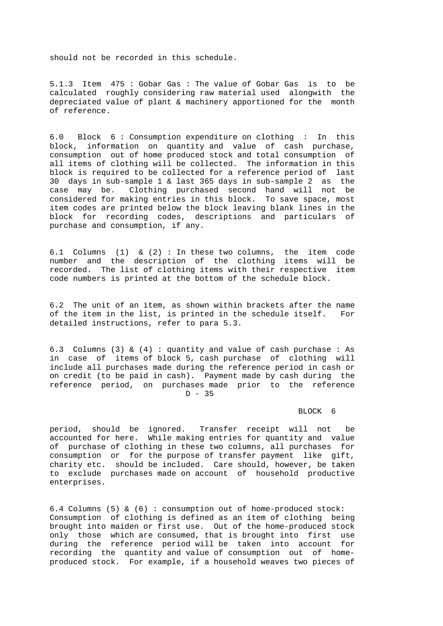should not be recorded in this schedule.

5.1.3 Item 475 : Gobar Gas : The value of Gobar Gas is to be calculated roughly considering raw material used alongwith the depreciated value of plant & machinery apportioned for the month of reference.

6.0 Block 6 : Consumption expenditure on clothing : In this block, information on quantity and value of cash purchase, consumption out of home produced stock and total consumption of all items of clothing will be collected. The information in this block is required to be collected for a reference period of last 30 days in sub-sample 1 & last 365 days in sub-sample 2 as the case may be. Clothing purchased second hand will not be considered for making entries in this block. To save space, most item codes are printed below the block leaving blank lines in the block for recording codes, descriptions and particulars of purchase and consumption, if any.

6.1 Columns (1)  $\&$  (2) : In these two columns, the item code number and the description of the clothing items will be recorded. The list of clothing items with their respective item code numbers is printed at the bottom of the schedule block.

6.2 The unit of an item, as shown within brackets after the name of the item in the list, is printed in the schedule itself. For detailed instructions, refer to para 5.3.

6.3 Columns (3) & (4) : quantity and value of cash purchase : As in case of items of block 5, cash purchase of clothing will include all purchases made during the reference period in cash or on credit (to be paid in cash). Payment made by cash during the reference period, on purchases made prior to the reference  $D - 35$ 

## BLOCK 6

period, should be ignored. Transfer receipt will not be accounted for here. While making entries for quantity and value of purchase of clothing in these two columns, all purchases for consumption or for the purpose of transfer payment like gift, charity etc. should be included. Care should, however, be taken to exclude purchases made on account of household productive enterprises.

6.4 Columns (5) & (6) : consumption out of home-produced stock: Consumption of clothing is defined as an item of clothing being brought into maiden or first use. Out of the home-produced stock only those which are consumed, that is brought into first use during the reference period will be taken into account for recording the quantity and value of consumption out of homeproduced stock. For example, if a household weaves two pieces of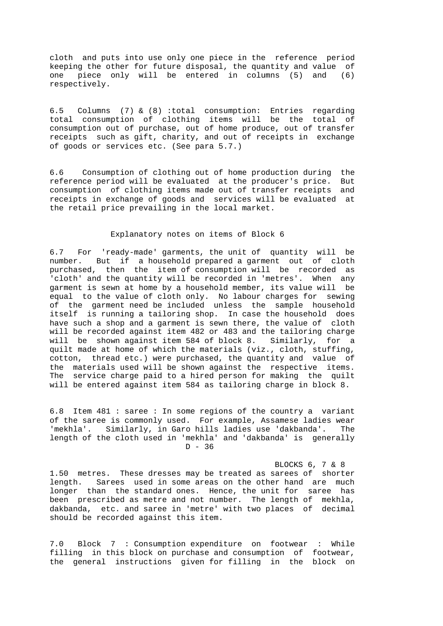cloth and puts into use only one piece in the reference period keeping the other for future disposal, the quantity and value of one piece only will be entered in columns (5) and (6) respectively.

6.5 Columns (7) & (8) :total consumption: Entries regarding total consumption of clothing items will be the total of consumption out of purchase, out of home produce, out of transfer receipts such as gift, charity, and out of receipts in exchange of goods or services etc. (See para 5.7.)

6.6 Consumption of clothing out of home production during the reference period will be evaluated at the producer's price. But consumption of clothing items made out of transfer receipts and receipts in exchange of goods and services will be evaluated at the retail price prevailing in the local market.

#### Explanatory notes on items of Block 6

6.7 For 'ready-made' garments, the unit of quantity will be number. But if a household prepared a garment out of cloth purchased, then the item of consumption will be recorded as 'cloth' and the quantity will be recorded in 'metres'. When any garment is sewn at home by a household member, its value will be equal to the value of cloth only. No labour charges for sewing of the garment need be included unless the sample household itself is running a tailoring shop. In case the household does have such a shop and a garment is sewn there, the value of cloth will be recorded against item 482 or 483 and the tailoring charge will be shown against item 584 of block 8. Similarly, for a quilt made at home of which the materials (viz., cloth, stuffing, cotton, thread etc.) were purchased, the quantity and value of the materials used will be shown against the respective items. The service charge paid to a hired person for making the quilt will be entered against item 584 as tailoring charge in block 8.

6.8 Item 481 : saree : In some regions of the country a variant of the saree is commonly used. For example, Assamese ladies wear 'mekhla'. Similarly, in Garo hills ladies use 'dakbanda'. The length of the cloth used in 'mekhla' and 'dakbanda' is generally  $D - 36$ 

#### BLOCKS 6, 7 & 8

1.50 metres. These dresses may be treated as sarees of shorter length. Sarees used in some areas on the other hand are much longer than the standard ones. Hence, the unit for saree has been prescribed as metre and not number. The length of mekhla, dakbanda, etc. and saree in 'metre' with two places of decimal should be recorded against this item.

7.0 Block 7 : Consumption expenditure on footwear : While filling in this block on purchase and consumption of footwear, the general instructions given for filling in the block on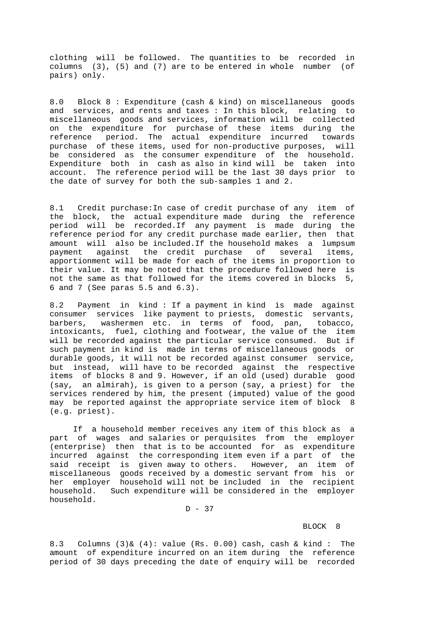clothing will be followed. The quantities to be recorded in columns (3), (5) and (7) are to be entered in whole number (of pairs) only.

8.0 Block 8 : Expenditure (cash & kind) on miscellaneous goods and services, and rents and taxes : In this block, relating to miscellaneous goods and services, information will be collected on the expenditure for purchase of these items during the reference period. The actual expenditure incurred towards purchase of these items, used for non-productive purposes, will be considered as the consumer expenditure of the household. Expenditure both in cash as also in kind will be taken into account. The reference period will be the last 30 days prior to the date of survey for both the sub-samples 1 and 2.

8.1 Credit purchase: In case of credit purchase of any item of the block, the actual expenditure made during the reference period will be recorded.If any payment is made during the reference period for any credit purchase made earlier, then that amount will also be included.If the household makes a lumpsum payment against the credit purchase of several items, apportionment will be made for each of the items in proportion to their value. It may be noted that the procedure followed here is not the same as that followed for the items covered in blocks 5, 6 and 7 (See paras 5.5 and 6.3).

8.2 Payment in kind : If a payment in kind is made against consumer services like payment to priests, domestic servants, barbers, washermen etc. in terms of food, pan, tobacco, intoxicants, fuel, clothing and footwear, the value of the item will be recorded against the particular service consumed. But if such payment in kind is made in terms of miscellaneous goods or durable goods, it will not be recorded against consumer service, but instead, will have to be recorded against the respective items of blocks 8 and 9. However, if an old (used) durable good (say, an almirah), is given to a person (say, a priest) for the services rendered by him, the present (imputed) value of the good may be reported against the appropriate service item of block 8 (e.g. priest).

 If a household member receives any item of this block as a part of wages and salaries or perquisites from the employer (enterprise) then that is to be accounted for as expenditure incurred against the corresponding item even if a part of the said receipt is given away to others. However, an item of miscellaneous goods received by a domestic servant from his or her employer household will not be included in the recipient household. Such expenditure will be considered in the employer household.

 $D - 37$ 

## BLOCK 8

8.3 Columns  $(3)$  &  $(4)$ : value (Rs. 0.00) cash, cash & kind: The amount of expenditure incurred on an item during the reference period of 30 days preceding the date of enquiry will be recorded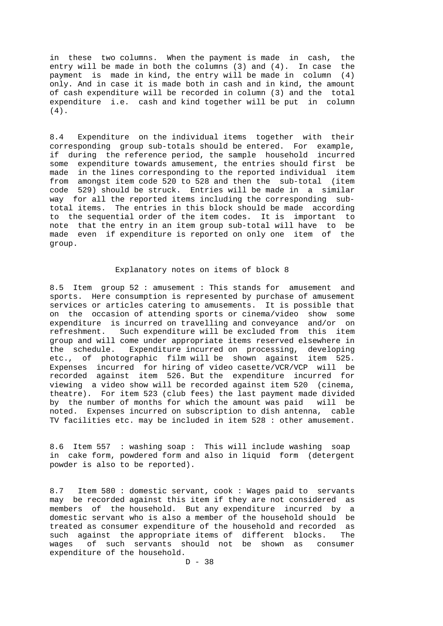in these two columns. When the payment is made in cash, the entry will be made in both the columns (3) and (4). In case the payment is made in kind, the entry will be made in column (4) only. And in case it is made both in cash and in kind, the amount of cash expenditure will be recorded in column (3) and the total expenditure i.e. cash and kind together will be put in column (4).

8.4 Expenditure on the individual items together with their corresponding group sub-totals should be entered. For example, if during the reference period, the sample household incurred some expenditure towards amusement, the entries should first be made in the lines corresponding to the reported individual item from amongst item code 520 to 528 and then the sub-total (item code 529) should be struck. Entries will be made in a similar way for all the reported items including the corresponding subtotal items. The entries in this block should be made according to the sequential order of the item codes. It is important to note that the entry in an item group sub-total will have to be made even if expenditure is reported on only one item of the group.

#### Explanatory notes on items of block 8

8.5 Item group 52 : amusement : This stands for amusement and sports. Here consumption is represented by purchase of amusement services or articles catering to amusements. It is possible that on the occasion of attending sports or cinema/video show some expenditure is incurred on travelling and conveyance and/or on refreshment. Such expenditure will be excluded from this item group and will come under appropriate items reserved elsewhere in the schedule. Expenditure incurred on processing, developing etc., of photographic film will be shown against item 525. Expenses incurred for hiring of video casette/VCR/VCP will be recorded against item 526. But the expenditure incurred for viewing a video show will be recorded against item 520 (cinema, theatre). For item 523 (club fees) the last payment made divided by the number of months for which the amount was paid will be noted. Expenses incurred on subscription to dish antenna, cable TV facilities etc. may be included in item 528 : other amusement.

8.6 Item 557 : washing soap : This will include washing soap in cake form, powdered form and also in liquid form (detergent powder is also to be reported).

8.7 Item 580 : domestic servant, cook : Wages paid to servants may be recorded against this item if they are not considered as members of the household. But any expenditure incurred by a domestic servant who is also a member of the household should be treated as consumer expenditure of the household and recorded as such against the appropriate items of different blocks. The wages of such servants should not be shown as consumer expenditure of the household.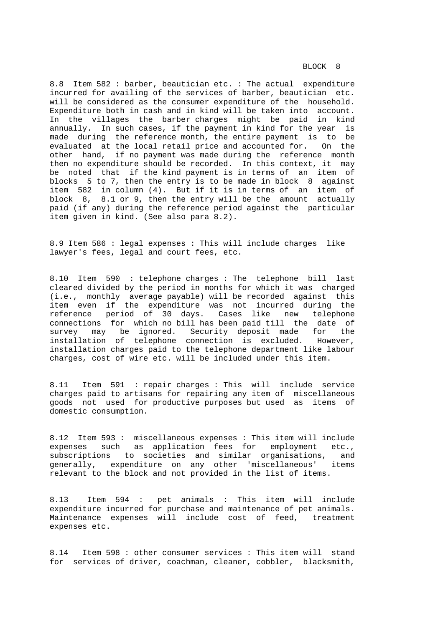8.8 Item 582 : barber, beautician etc. : The actual expenditure incurred for availing of the services of barber, beautician etc. will be considered as the consumer expenditure of the household. Expenditure both in cash and in kind will be taken into account. In the villages the barber charges might be paid in kind annually. In such cases, if the payment in kind for the year is made during the reference month, the entire payment is to be evaluated at the local retail price and accounted for. On the other hand, if no payment was made during the reference month then no expenditure should be recorded. In this context, it may be noted that if the kind payment is in terms of an item of blocks 5 to 7, then the entry is to be made in block 8 against item 582 in column (4). But if it is in terms of an item of block 8, 8.1 or 9, then the entry will be the amount actually paid (if any) during the reference period against the particular item given in kind. (See also para 8.2).

8.9 Item 586 : legal expenses : This will include charges like lawyer's fees, legal and court fees, etc.

8.10 Item 590 : telephone charges : The telephone bill last cleared divided by the period in months for which it was charged (i.e., monthly average payable) will be recorded against this item even if the expenditure was not incurred during the reference period of 30 days. Cases like new telephone connections for which no bill has been paid till the date of survey may be ignored. Security deposit made for the installation of telephone connection is excluded. However, installation charges paid to the telephone department like labour charges, cost of wire etc. will be included under this item.

8.11 Item 591 : repair charges : This will include service charges paid to artisans for repairing any item of miscellaneous goods not used for productive purposes but used as items of domestic consumption.

8.12 Item 593 : miscellaneous expenses : This item will include expenses such as application fees for employment etc., subscriptions to societies and similar organisations, and generally, expenditure on any other 'miscellaneous' items relevant to the block and not provided in the list of items.

8.13 Item 594 : pet animals : This item will include expenditure incurred for purchase and maintenance of pet animals. Maintenance expenses will include cost of feed, treatment expenses etc.

8.14 Item 598 : other consumer services : This item will stand for services of driver, coachman, cleaner, cobbler, blacksmith,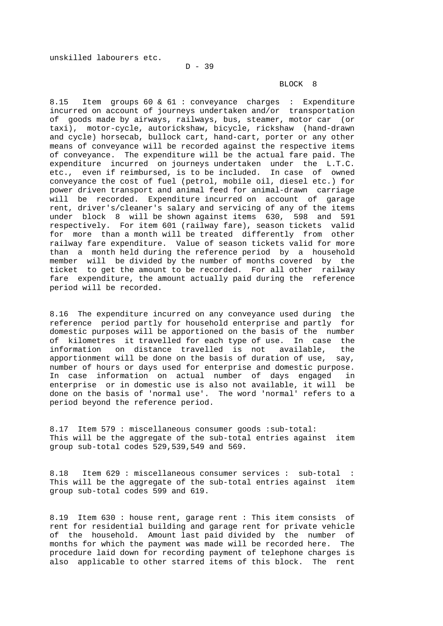unskilled labourers etc.

#### BLOCK 8

8.15 Item groups 60 & 61 : conveyance charges : Expenditure incurred on account of journeys undertaken and/or transportation of goods made by airways, railways, bus, steamer, motor car (or taxi), motor-cycle, autorickshaw, bicycle, rickshaw (hand-drawn and cycle) horsecab, bullock cart, hand-cart, porter or any other means of conveyance will be recorded against the respective items of conveyance. The expenditure will be the actual fare paid. The expenditure incurred on journeys undertaken under the L.T.C. etc., even if reimbursed, is to be included. In case of owned conveyance the cost of fuel (petrol, mobile oil, diesel etc.) for power driven transport and animal feed for animal-drawn carriage will be recorded. Expenditure incurred on account of garage rent, driver's/cleaner's salary and servicing of any of the items under block 8 will be shown against items 630, 598 and 591 respectively. For item 601 (railway fare), season tickets valid for more than a month will be treated differently from other railway fare expenditure. Value of season tickets valid for more than a month held during the reference period by a household member will be divided by the number of months covered by the ticket to get the amount to be recorded. For all other railway fare expenditure, the amount actually paid during the reference period will be recorded.

8.16 The expenditure incurred on any conveyance used during the reference period partly for household enterprise and partly for domestic purposes will be apportioned on the basis of the number of kilometres it travelled for each type of use. In case the information on distance travelled is not available, the apportionment will be done on the basis of duration of use, say, number of hours or days used for enterprise and domestic purpose. In case information on actual number of days engaged in enterprise or in domestic use is also not available, it will be done on the basis of 'normal use'. The word 'normal' refers to a period beyond the reference period.

8.17 Item 579 : miscellaneous consumer goods : sub-total: This will be the aggregate of the sub-total entries against item group sub-total codes 529,539,549 and 569.

8.18 Item 629 : miscellaneous consumer services : sub-total This will be the aggregate of the sub-total entries against item group sub-total codes 599 and 619.

8.19 Item 630 : house rent, garage rent : This item consists of rent for residential building and garage rent for private vehicle of the household. Amount last paid divided by the number of months for which the payment was made will be recorded here. The procedure laid down for recording payment of telephone charges is also applicable to other starred items of this block. The rent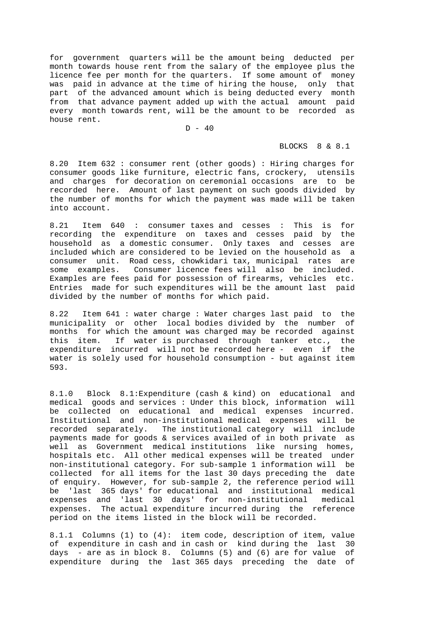for government quarters will be the amount being deducted per month towards house rent from the salary of the employee plus the licence fee per month for the quarters. If some amount of money was paid in advance at the time of hiring the house, only that part of the advanced amount which is being deducted every month from that advance payment added up with the actual amount paid every month towards rent, will be the amount to be recorded as house rent.

# $D - 40$

## BLOCKS 8 & 8.1

8.20 Item 632 : consumer rent (other goods) : Hiring charges for consumer goods like furniture, electric fans, crockery, utensils and charges for decoration on ceremonial occasions are to be recorded here. Amount of last payment on such goods divided by the number of months for which the payment was made will be taken into account.

8.21 Item 640 : consumer taxes and cesses : This is for recording the expenditure on taxes and cesses paid by the household as a domestic consumer. Only taxes and cesses are included which are considered to be levied on the household as a consumer unit. Road cess, chowkidari tax, municipal rates are some examples. Consumer licence fees will also be included. Examples are fees paid for possession of firearms, vehicles etc. Entries made for such expenditures will be the amount last paid divided by the number of months for which paid.

8.22 Item 641 : water charge : Water charges last paid to the municipality or other local bodies divided by the number of months for which the amount was charged may be recorded against this item. If water is purchased through tanker etc., the expenditure incurred will not be recorded here - even if the water is solely used for household consumption - but against item 593.

8.1.0 Block 8.1:Expenditure (cash & kind) on educational and medical goods and services : Under this block, information will be collected on educational and medical expenses incurred. Institutional and non-institutional medical expenses will be recorded separately. The institutional category will include payments made for goods & services availed of in both private as well as Government medical institutions like nursing homes, hospitals etc. All other medical expenses will be treated under non-institutional category. For sub-sample 1 information will be collected for all items for the last 30 days preceding the date of enquiry. However, for sub-sample 2, the reference period will be 'last 365 days' for educational and institutional medical expenses and 'last 30 days' for non-institutional medical expenses. The actual expenditure incurred during the reference period on the items listed in the block will be recorded.

8.1.1 Columns (1) to (4): item code, description of item, value of expenditure in cash and in cash or kind during the last 30 days - are as in block 8. Columns (5) and (6) are for value of expenditure during the last 365 days preceding the date of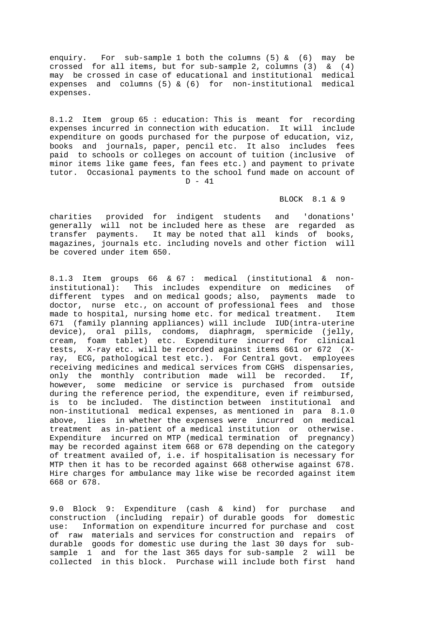enquiry. For sub-sample 1 both the columns (5) & (6) may be crossed for all items, but for sub-sample 2, columns (3) & (4) may be crossed in case of educational and institutional medical expenses and columns (5) & (6) for non-institutional medical expenses.

8.1.2 Item group 65 : education: This is meant for recording expenses incurred in connection with education. It will include expenditure on goods purchased for the purpose of education, viz, books and journals, paper, pencil etc. It also includes fees paid to schools or colleges on account of tuition (inclusive of minor items like game fees, fan fees etc.) and payment to private tutor. Occasional payments to the school fund made on account of  $D - 41$ 

# BLOCK 8.1 & 9

charities provided for indigent students and 'donations' generally will not be included here as these are regarded as transfer payments. It may be noted that all kinds of books, magazines, journals etc. including novels and other fiction will be covered under item 650.

8.1.3 Item groups 66 & 67 : medical (institutional & noninstitutional): This includes expenditure on medicines of different types and on medical goods; also, payments made to doctor, nurse etc., on account of professional fees and those made to hospital, nursing home etc. for medical treatment. Item 671 (family planning appliances) will include IUD(intra-uterine device), oral pills, condoms, diaphragm, spermicide (jelly, cream, foam tablet) etc. Expenditure incurred for clinical tests, X-ray etc. will be recorded against items 661 or 672 (Xray, ECG, pathological test etc.). For Central govt. employees receiving medicines and medical services from CGHS dispensaries, only the monthly contribution made will be recorded. If, however, some medicine or service is purchased from outside during the reference period, the expenditure, even if reimbursed, is to be included. The distinction between institutional and non-institutional medical expenses, as mentioned in para 8.1.0 above, lies in whether the expenses were incurred on medical treatment as in-patient of a medical institution or otherwise. Expenditure incurred on MTP (medical termination of pregnancy) may be recorded against item 668 or 678 depending on the category of treatment availed of, i.e. if hospitalisation is necessary for MTP then it has to be recorded against 668 otherwise against 678. Hire charges for ambulance may like wise be recorded against item 668 or 678.

9.0 Block 9: Expenditure (cash & kind) for purchase and construction (including repair) of durable goods for domestic use: Information on expenditure incurred for purchase and cost of raw materials and services for construction and repairs of durable goods for domestic use during the last 30 days for subsample 1 and for the last 365 days for sub-sample 2 will be collected in this block. Purchase will include both first hand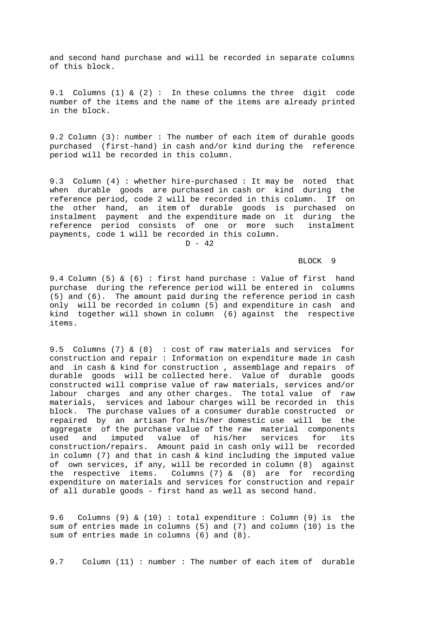and second hand purchase and will be recorded in separate columns of this block.

9.1 Columns (1) & (2) : In these columns the three digit code number of the items and the name of the items are already printed in the block.

9.2 Column (3): number : The number of each item of durable goods purchased (first-hand) in cash and/or kind during the reference period will be recorded in this column.

9.3 Column (4) : whether hire-purchased : It may be noted that when durable goods are purchased in cash or kind during the reference period, code 2 will be recorded in this column. If on the other hand, an item of durable goods is purchased on instalment payment and the expenditure made on it during the reference period consists of one or more such instalment payments, code 1 will be recorded in this column.

 $D - 42$ 

#### BLOCK 9

9.4 Column (5) & (6) : first hand purchase : Value of first hand purchase during the reference period will be entered in columns (5) and (6). The amount paid during the reference period in cash only will be recorded in column (5) and expenditure in cash and kind together will shown in column (6) against the respective items.

9.5 Columns (7) & (8) : cost of raw materials and services for construction and repair : Information on expenditure made in cash and in cash & kind for construction , assemblage and repairs of durable goods will be collected here. Value of durable goods constructed will comprise value of raw materials, services and/or labour charges and any other charges. The total value of raw materials, services and labour charges will be recorded in this block. The purchase values of a consumer durable constructed or repaired by an artisan for his/her domestic use will be the aggregate of the purchase value of the raw material components used and imputed value of his/her services for its construction/repairs. Amount paid in cash only will be recorded in column (7) and that in cash & kind including the imputed value of own services, if any, will be recorded in column (8) against the respective items. Columns  $(7)$  &  $(8)$  are for recording expenditure on materials and services for construction and repair of all durable goods - first hand as well as second hand.

9.6 Columns (9) & (10) : total expenditure : Column (9) is the sum of entries made in columns (5) and (7) and column (10) is the sum of entries made in columns (6) and (8).

9.7 Column (11) : number : The number of each item of durable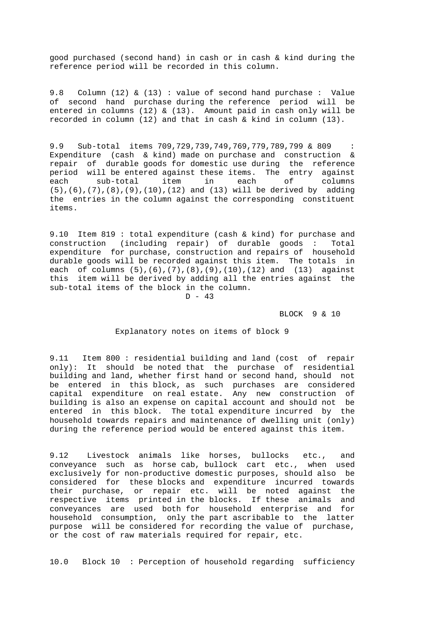good purchased (second hand) in cash or in cash & kind during the reference period will be recorded in this column.

9.8 Column (12) & (13) : value of second hand purchase : Value of second hand purchase during the reference period will be entered in columns (12)  $\&$  (13). Amount paid in cash only will be recorded in column (12) and that in cash & kind in column (13).

9.9 Sub-total items 709,729,739,749,769,779,789,799 & 809 : Expenditure (cash & kind) made on purchase and construction & repair of durable goods for domestic use during the reference period will be entered against these items. The entry against each sub-total item in each of columns (5),(6),(7),(8),(9),(10),(12) and (13) will be derived by adding the entries in the column against the corresponding constituent items.

9.10 Item 819 : total expenditure (cash & kind) for purchase and construction (including repair) of durable goods : Total expenditure for purchase, construction and repairs of household durable goods will be recorded against this item. The totals in each of columns (5),(6),(7),(8),(9),(10),(12) and (13) against this item will be derived by adding all the entries against the sub-total items of the block in the column.  $D - 43$ 

BLOCK 9 & 10

Explanatory notes on items of block 9

9.11 Item 800 : residential building and land (cost of repair only): It should be noted that the purchase of residential building and land, whether first hand or second hand, should not be entered in this block, as such purchases are considered capital expenditure on real estate. Any new construction of building is also an expense on capital account and should not be entered in this block. The total expenditure incurred by the household towards repairs and maintenance of dwelling unit (only) during the reference period would be entered against this item.

9.12 Livestock animals like horses, bullocks etc., and conveyance such as horse cab, bullock cart etc., when used exclusively for non-productive domestic purposes, should also be considered for these blocks and expenditure incurred towards their purchase, or repair etc. will be noted against the respective items printed in the blocks. If these animals and conveyances are used both for household enterprise and for household consumption, only the part ascribable to the latter purpose will be considered for recording the value of purchase, or the cost of raw materials required for repair, etc.

10.0 Block 10 : Perception of household regarding sufficiency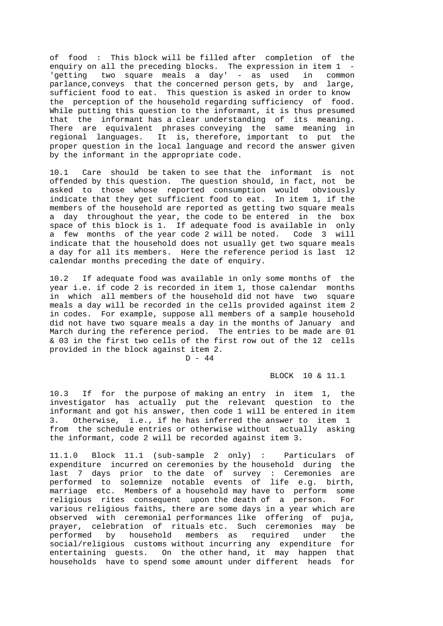of food : This block will be filled after completion of the enquiry on all the preceding blocks. The expression in item 1 'getting two square meals a day' - as used in common parlance, conveys that the concerned person gets, by and large, sufficient food to eat. This question is asked in order to know the perception of the household regarding sufficiency of food. While putting this question to the informant, it is thus presumed that the informant has a clear understanding of its meaning. There are equivalent phrases conveying the same meaning in regional languages. It is, therefore, important to put the proper question in the local language and record the answer given by the informant in the appropriate code.

10.1 Care should be taken to see that the informant is not offended by this question. The question should, in fact, not be asked to those whose reported consumption would obviously indicate that they get sufficient food to eat. In item 1, if the members of the household are reported as getting two square meals a day throughout the year, the code to be entered in the box space of this block is 1. If adequate food is available in only a few months of the year code 2 will be noted. Code 3 will indicate that the household does not usually get two square meals a day for all its members. Here the reference period is last 12 calendar months preceding the date of enquiry.

10.2 If adequate food was available in only some months of the year i.e. if code 2 is recorded in item 1, those calendar months in which all members of the household did not have two square meals a day will be recorded in the cells provided against item 2 in codes. For example, suppose all members of a sample household did not have two square meals a day in the months of January and March during the reference period. The entries to be made are 01 & 03 in the first two cells of the first row out of the 12 cells provided in the block against item 2.

 $D - 44$ 

#### BLOCK 10 & 11.1

10.3 If for the purpose of making an entry in item 1, the investigator has actually put the relevant question to the informant and got his answer, then code 1 will be entered in item 3. Otherwise, i.e., if he has inferred the answer to item 1 from the schedule entries or otherwise without actually asking the informant, code 2 will be recorded against item 3.

11.1.0 Block 11.1 (sub-sample 2 only) : Particulars of expenditure incurred on ceremonies by the household during the last 7 days prior to the date of survey : Ceremonies are performed to solemnize notable events of life e.g. birth, marriage etc. Members of a household may have to perform some religious rites consequent upon the death of a person. For various religious faiths, there are some days in a year which are observed with ceremonial performances like offering of puja, prayer, celebration of rituals etc. Such ceremonies may be performed by household members as required under the social/religious customs without incurring any expenditure for entertaining guests. On the other hand, it may happen that households have to spend some amount under different heads for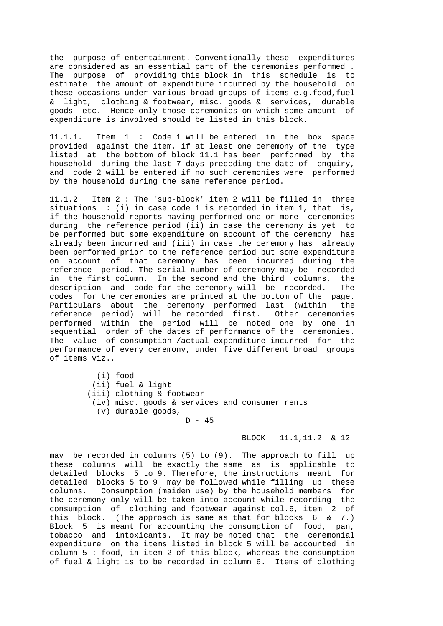the purpose of entertainment. Conventionally these expenditures are considered as an essential part of the ceremonies performed . The purpose of providing this block in this schedule is to estimate the amount of expenditure incurred by the household on these occasions under various broad groups of items e.g.food,fuel & light, clothing & footwear, misc. goods & services, durable goods etc. Hence only those ceremonies on which some amount of expenditure is involved should be listed in this block.

11.1.1. Item 1 : Code 1 will be entered in the box space provided against the item, if at least one ceremony of the type listed at the bottom of block 11.1 has been performed by the household during the last 7 days preceding the date of enquiry, and code 2 will be entered if no such ceremonies were performed by the household during the same reference period.

11.1.2 Item 2 : The 'sub-block' item 2 will be filled in three situations : (i) in case code 1 is recorded in item 1, that is, if the household reports having performed one or more ceremonies during the reference period (ii) in case the ceremony is yet to be performed but some expenditure on account of the ceremony has already been incurred and (iii) in case the ceremony has already been performed prior to the reference period but some expenditure on account of that ceremony has been incurred during the reference period. The serial number of ceremony may be recorded in the first column. In the second and the third columns, the description and code for the ceremony will be recorded. The codes for the ceremonies are printed at the bottom of the page. Particulars about the ceremony performed last (within the reference period) will be recorded first. Other ceremonies performed within the period will be noted one by one in sequential order of the dates of performance of the ceremonies. The value of consumption /actual expenditure incurred for the performance of every ceremony, under five different broad groups of items viz.,

> (i) food (ii) fuel & light (iii) clothing & footwear (iv) misc. goods & services and consumer rents (v) durable goods,  $D - 45$

> > BLOCK 11.1,11.2 & 12

may be recorded in columns (5) to (9). The approach to fill up these columns will be exactly the same as is applicable to detailed blocks 5 to 9. Therefore, the instructions meant for detailed blocks 5 to 9 may be followed while filling up these columns. Consumption (maiden use) by the household members for the ceremony only will be taken into account while recording the consumption of clothing and footwear against col.6, item 2 of this block. (The approach is same as that for blocks  $6 \& 7$ .) Block 5 is meant for accounting the consumption of food, pan, tobacco and intoxicants. It may be noted that the ceremonial expenditure on the items listed in block 5 will be accounted in column 5 : food, in item 2 of this block, whereas the consumption of fuel & light is to be recorded in column 6. Items of clothing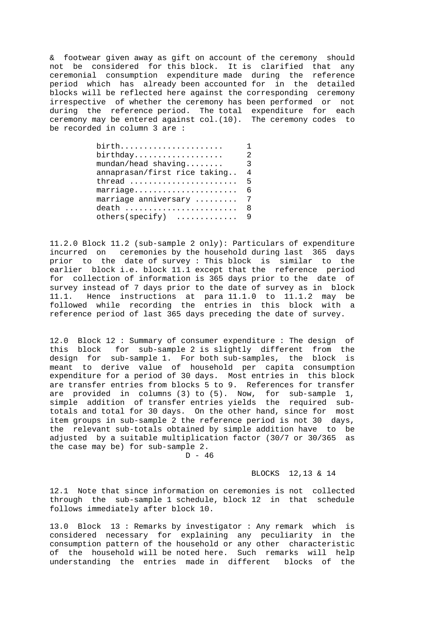& footwear given away as gift on account of the ceremony should not be considered for this block. It is clarified that any ceremonial consumption expenditure made during the reference period which has already been accounted for in the detailed blocks will be reflected here against the corresponding ceremony irrespective of whether the ceremony has been performed or not during the reference period. The total expenditure for each ceremony may be entered against col.(10). The ceremony codes to be recorded in column 3 are :

| birth                                    |   |
|------------------------------------------|---|
| $birthday.\dots.\dots.\dots.\dots.\dots$ |   |
| $mundan/head shaving$                    | 3 |
| annaprasan/first rice taking             | 4 |
| thread                                   | 5 |
| marriage                                 | 6 |
| marriage anniversary  7                  |   |
| death                                    | 8 |
| $others(specify)$                        |   |
|                                          |   |

11.2.0 Block 11.2 (sub-sample 2 only): Particulars of expenditure incurred on ceremonies by the household during last 365 days prior to the date of survey : This block is similar to the earlier block i.e. block 11.1 except that the reference period for collection of information is 365 days prior to the date of survey instead of 7 days prior to the date of survey as in block 11.1. Hence instructions at para 11.1.0 to 11.1.2 may be followed while recording the entries in this block with a reference period of last 365 days preceding the date of survey.

12.0 Block 12 : Summary of consumer expenditure : The design of this block for sub-sample 2 is slightly different from the design for sub-sample 1. For both sub-samples, the block is meant to derive value of household per capita consumption expenditure for a period of 30 days. Most entries in this block are transfer entries from blocks 5 to 9. References for transfer are provided in columns (3) to (5). Now, for sub-sample 1, simple addition of transfer entries yields the required subtotals and total for 30 days. On the other hand, since for most item groups in sub-sample 2 the reference period is not 30 days, the relevant sub-totals obtained by simple addition have to be adjusted by a suitable multiplication factor (30/7 or 30/365 as the case may be) for sub-sample 2.

 $D - 46$ 

#### BLOCKS 12,13 & 14

12.1 Note that since information on ceremonies is not collected through the sub-sample 1 schedule, block 12 in that schedule follows immediately after block 10.

13.0 Block 13 : Remarks by investigator : Any remark which is considered necessary for explaining any peculiarity in the consumption pattern of the household or any other characteristic of the household will be noted here. Such remarks will help understanding the entries made in different blocks of the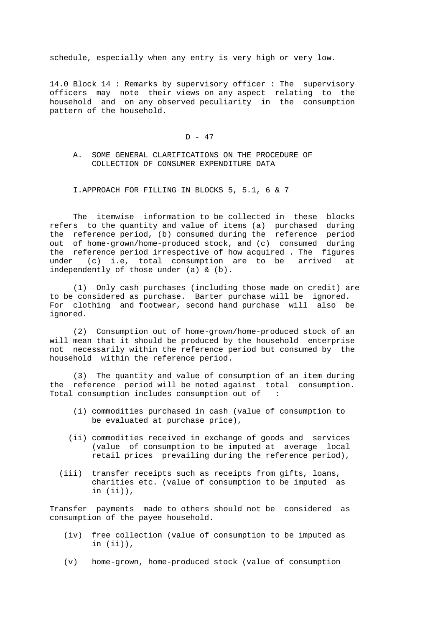schedule, especially when any entry is very high or very low.

14.0 Block 14 : Remarks by supervisory officer : The supervisory officers may note their views on any aspect relating to the household and on any observed peculiarity in the consumption pattern of the household.

# $D - 47$

 A. SOME GENERAL CLARIFICATIONS ON THE PROCEDURE OF COLLECTION OF CONSUMER EXPENDITURE DATA

I.APPROACH FOR FILLING IN BLOCKS 5, 5.1, 6 & 7

 The itemwise information to be collected in these blocks refers to the quantity and value of items (a) purchased during the reference period, (b) consumed during the reference period out of home-grown/home-produced stock, and (c) consumed during the reference period irrespective of how acquired . The figures under (c) i.e, total consumption are to be arrived at independently of those under (a) & (b).

 (1) Only cash purchases (including those made on credit) are to be considered as purchase. Barter purchase will be ignored. For clothing and footwear, second hand purchase will also be ignored.

 (2) Consumption out of home-grown/home-produced stock of an will mean that it should be produced by the household enterprise not necessarily within the reference period but consumed by the household within the reference period.

 (3) The quantity and value of consumption of an item during the reference period will be noted against total consumption. Total consumption includes consumption out of :

- (i) commodities purchased in cash (value of consumption to be evaluated at purchase price),
- (ii) commodities received in exchange of goods and services (value of consumption to be imputed at average local retail prices prevailing during the reference period),
- (iii) transfer receipts such as receipts from gifts, loans, charities etc. (value of consumption to be imputed as in (ii)),

Transfer payments made to others should not be considered as consumption of the payee household.

- (iv) free collection (value of consumption to be imputed as in (ii)),
- (v) home-grown, home-produced stock (value of consumption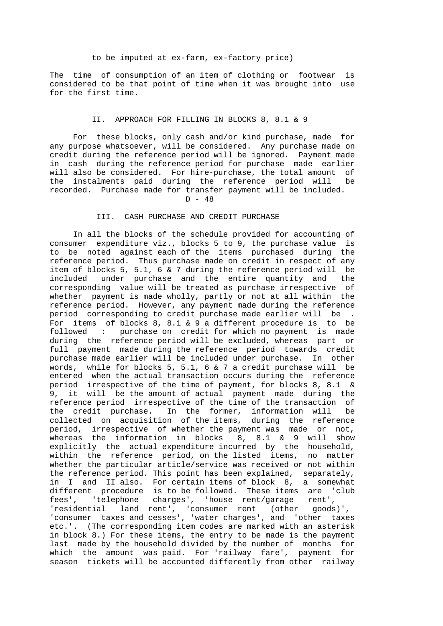## to be imputed at ex-farm, ex-factory price)

The time of consumption of an item of clothing or footwear is considered to be that point of time when it was brought into use for the first time.

# II. APPROACH FOR FILLING IN BLOCKS 8, 8.1 & 9

 For these blocks, only cash and/or kind purchase, made for any purpose whatsoever, will be considered. Any purchase made on credit during the reference period will be ignored. Payment made in cash during the reference period for purchase made earlier will also be considered. For hire-purchase, the total amount of the instalments paid during the reference period will be recorded. Purchase made for transfer payment will be included.

# D - 48

## III. CASH PURCHASE AND CREDIT PURCHASE

 In all the blocks of the schedule provided for accounting of consumer expenditure viz., blocks 5 to 9, the purchase value is to be noted against each of the items purchased during the reference period. Thus purchase made on credit in respect of any item of blocks 5, 5.1, 6 & 7 during the reference period will be included under purchase and the entire quantity and the corresponding value will be treated as purchase irrespective of whether payment is made wholly, partly or not at all within the reference period. However, any payment made during the reference period corresponding to credit purchase made earlier will be . For items of blocks 8, 8.1 & 9 a different procedure is to be followed : purchase on credit for which no payment is made during the reference period will be excluded, whereas part or full payment made during the reference period towards credit purchase made earlier will be included under purchase. In other words, while for blocks 5, 5.1, 6  $\&$  7 a credit purchase will be entered when the actual transaction occurs during the reference period irrespective of the time of payment, for blocks 8, 8.1 & 9, it will be the amount of actual payment made during the reference period irrespective of the time of the transaction of the credit purchase. In the former, information will be collected on acquisition of the items, during the reference period, irrespective of whether the payment was made or not, whereas the information in blocks 8, 8.1 & 9 will show explicitly the actual expenditure incurred by the household, within the reference period, on the listed items, no matter whether the particular article/service was received or not within the reference period. This point has been explained, separately, in I and II also. For certain items of block 8, a somewhat different procedure is to be followed. These items are 'club fees', 'telephone charges', 'house rent/garage rent', 'residential land rent', 'consumer rent (other goods)', 'consumer taxes and cesses', 'water charges', and 'other taxes etc.'. (The corresponding item codes are marked with an asterisk in block 8.) For these items, the entry to be made is the payment last made by the household divided by the number of months for which the amount was paid. For 'railway fare', payment for season tickets will be accounted differently from other railway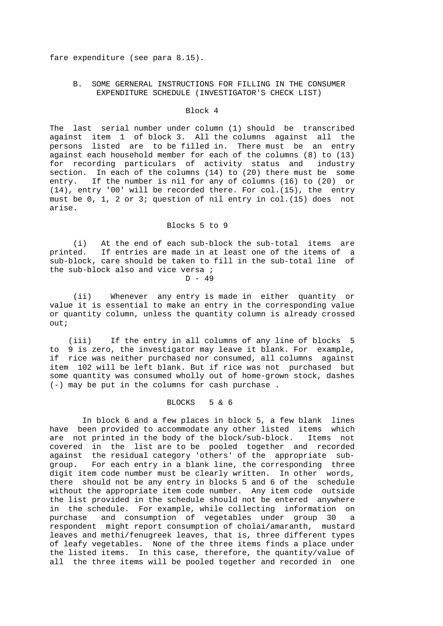fare expenditure (see para 8.15).

# B. SOME GERNERAL INSTRUCTIONS FOR FILLING IN THE CONSUMER EXPENDITURE SCHEDULE (INVESTIGATOR'S CHECK LIST)

## Block 4

The last serial number under column (1) should be transcribed against item 1 of block 3. All the columns against all the persons listed are to be filled in. There must be an entry against each household member for each of the columns (8) to (13) for recording particulars of activity status and industry section. In each of the columns (14) to (20) there must be some entry. If the number is nil for any of columns (16) to (20) or (14), entry '00' will be recorded there. For col.(15), the entry must be 0, 1, 2 or 3; question of nil entry in col.(15) does not arise.

## Blocks 5 to 9

 (i) At the end of each sub-block the sub-total items are printed. If entries are made in at least one of the items of a sub-block, care should be taken to fill in the sub-total line of the sub-block also and vice versa ; D - 49

 (ii) Whenever any entry is made in either quantity or value it is essential to make an entry in the corresponding value or quantity column, unless the quantity column is already crossed out;

 (iii) If the entry in all columns of any line of blocks 5 to 9 is zero, the investigator may leave it blank. For example, if rice was neither purchased nor consumed, all columns against item 102 will be left blank. But if rice was not purchased but some quantity was consumed wholly out of home-grown stock, dashes (-) may be put in the columns for cash purchase .

# BLOCKS 5 & 6

 In block 6 and a few places in block 5, a few blank lines have been provided to accommodate any other listed items which are not printed in the body of the block/sub-block. Items not covered in the list are to be pooled together and recorded against the residual category 'others' of the appropriate subgroup. For each entry in a blank line, the corresponding three digit item code number must be clearly written. In other words, there should not be any entry in blocks 5 and 6 of the schedule without the appropriate item code number. Any item code outside the list provided in the schedule should not be entered anywhere in the schedule. For example, while collecting information on purchase and consumption of vegetables under group 30 a respondent might report consumption of cholai/amaranth, mustard leaves and methi/fenugreek leaves, that is, three different types of leafy vegetables. None of the three items finds a place under the listed items. In this case, therefore, the quantity/value of all the three items will be pooled together and recorded in one